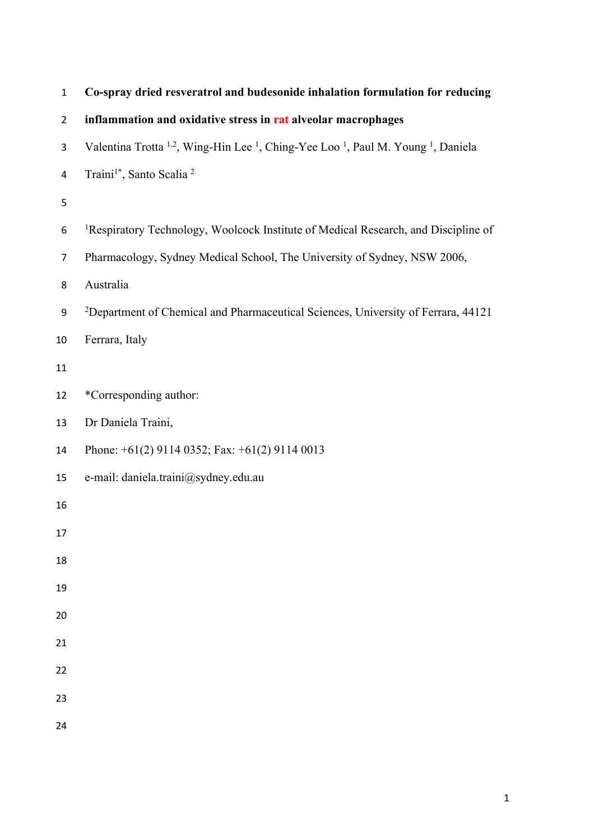| $\mathbf 1$    | Co-spray dried resveratrol and budesonide inhalation formulation for reducing                                                   |
|----------------|---------------------------------------------------------------------------------------------------------------------------------|
| $\overline{2}$ | inflammation and oxidative stress in rat alveolar macrophages                                                                   |
| 3              | Valentina Trotta <sup>1,2</sup> , Wing-Hin Lee <sup>1</sup> , Ching-Yee Loo <sup>1</sup> , Paul M. Young <sup>1</sup> , Daniela |
| 4              | Traini <sup>1*</sup> , Santo Scalia <sup>2</sup>                                                                                |
| 5              |                                                                                                                                 |
| 6              | <sup>1</sup> Respiratory Technology, Woolcock Institute of Medical Research, and Discipline of                                  |
| $\overline{7}$ | Pharmacology, Sydney Medical School, The University of Sydney, NSW 2006,                                                        |
| 8              | Australia                                                                                                                       |
| 9              | <sup>2</sup> Department of Chemical and Pharmaceutical Sciences, University of Ferrara, 44121                                   |
| 10             | Ferrara, Italy                                                                                                                  |
| 11             |                                                                                                                                 |
| 12             | *Corresponding author:                                                                                                          |
| 13             | Dr Daniela Traini,                                                                                                              |
| 14             | Phone: $+61(2)$ 9114 0352; Fax: $+61(2)$ 9114 0013                                                                              |
| 15             | e-mail: daniela.traini@sydney.edu.au                                                                                            |
| 16             |                                                                                                                                 |
| 17             |                                                                                                                                 |
| 18             |                                                                                                                                 |
| 19             |                                                                                                                                 |
| 20             |                                                                                                                                 |
| 21             |                                                                                                                                 |
| 22             |                                                                                                                                 |
| 23             |                                                                                                                                 |
| 24             |                                                                                                                                 |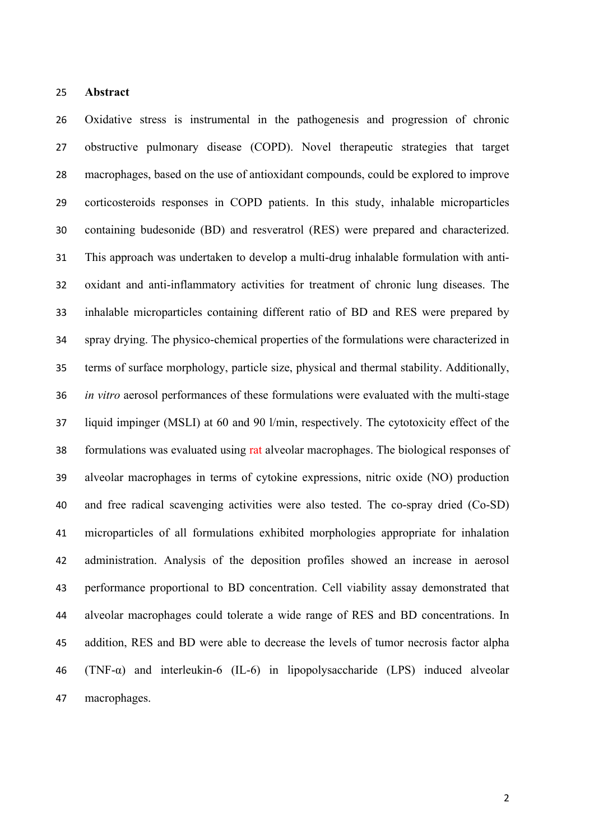#### **Abstract**

 Oxidative stress is instrumental in the pathogenesis and progression of chronic obstructive pulmonary disease (COPD). Novel therapeutic strategies that target macrophages, based on the use of antioxidant compounds, could be explored to improve corticosteroids responses in COPD patients. In this study, inhalable microparticles containing budesonide (BD) and resveratrol (RES) were prepared and characterized. This approach was undertaken to develop a multi-drug inhalable formulation with anti- oxidant and anti-inflammatory activities for treatment of chronic lung diseases. The inhalable microparticles containing different ratio of BD and RES were prepared by spray drying. The physico-chemical properties of the formulations were characterized in terms of surface morphology, particle size, physical and thermal stability. Additionally, *in vitro* aerosol performances of these formulations were evaluated with the multi-stage liquid impinger (MSLI) at 60 and 90 l/min, respectively. The cytotoxicity effect of the formulations was evaluated using rat alveolar macrophages. The biological responses of alveolar macrophages in terms of cytokine expressions, nitric oxide (NO) production and free radical scavenging activities were also tested. The co-spray dried (Co-SD) microparticles of all formulations exhibited morphologies appropriate for inhalation administration. Analysis of the deposition profiles showed an increase in aerosol performance proportional to BD concentration. Cell viability assay demonstrated that alveolar macrophages could tolerate a wide range of RES and BD concentrations. In addition, RES and BD were able to decrease the levels of tumor necrosis factor alpha (TNF-α) and interleukin-6 (IL-6) in lipopolysaccharide (LPS) induced alveolar macrophages.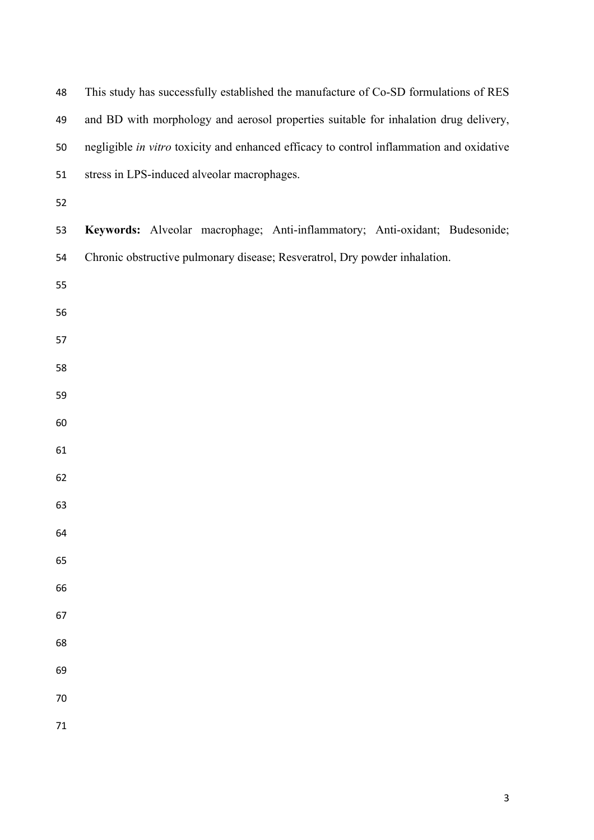| 48     | This study has successfully established the manufacture of Co-SD formulations of RES     |
|--------|------------------------------------------------------------------------------------------|
| 49     | and BD with morphology and aerosol properties suitable for inhalation drug delivery,     |
| 50     | negligible in vitro toxicity and enhanced efficacy to control inflammation and oxidative |
| 51     | stress in LPS-induced alveolar macrophages.                                              |
| 52     |                                                                                          |
| 53     | Keywords: Alveolar macrophage; Anti-inflammatory; Anti-oxidant; Budesonide;              |
| 54     | Chronic obstructive pulmonary disease; Resveratrol, Dry powder inhalation.               |
| 55     |                                                                                          |
| 56     |                                                                                          |
| 57     |                                                                                          |
| 58     |                                                                                          |
| 59     |                                                                                          |
| 60     |                                                                                          |
| 61     |                                                                                          |
| 62     |                                                                                          |
| 63     |                                                                                          |
| 64     |                                                                                          |
| 65     |                                                                                          |
| 66     |                                                                                          |
| 67     |                                                                                          |
| 68     |                                                                                          |
| 69     |                                                                                          |
| 70     |                                                                                          |
| $71\,$ |                                                                                          |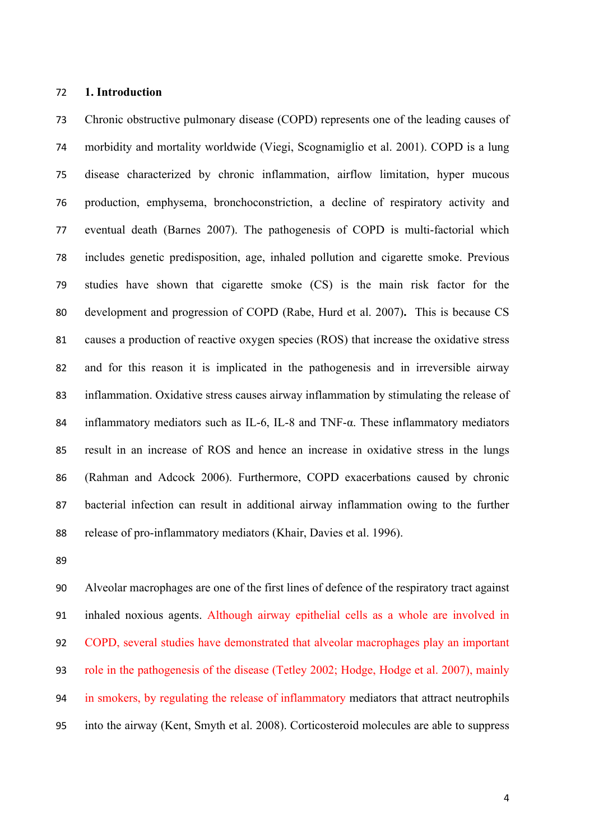### **1. Introduction**

 Chronic obstructive pulmonary disease (COPD) represents one of the leading causes of morbidity and mortality worldwide (Viegi, Scognamiglio et al. 2001). COPD is a lung disease characterized by chronic inflammation, airflow limitation, hyper mucous production, emphysema, bronchoconstriction, a decline of respiratory activity and eventual death (Barnes 2007). The pathogenesis of COPD is multi-factorial which includes genetic predisposition, age, inhaled pollution and cigarette smoke. Previous studies have shown that cigarette smoke (CS) is the main risk factor for the development and progression of COPD (Rabe, Hurd et al. 2007)**.** This is because CS causes a production of reactive oxygen species (ROS) that increase the oxidative stress and for this reason it is implicated in the pathogenesis and in irreversible airway inflammation. Oxidative stress causes airway inflammation by stimulating the release of inflammatory mediators such as IL-6, IL-8 and TNF-α. These inflammatory mediators result in an increase of ROS and hence an increase in oxidative stress in the lungs (Rahman and Adcock 2006). Furthermore, COPD exacerbations caused by chronic bacterial infection can result in additional airway inflammation owing to the further release of pro-inflammatory mediators (Khair, Davies et al. 1996).

 Alveolar macrophages are one of the first lines of defence of the respiratory tract against inhaled noxious agents. Although airway epithelial cells as a whole are involved in COPD, several studies have demonstrated that alveolar macrophages play an important role in the pathogenesis of the disease (Tetley 2002; Hodge, Hodge et al. 2007), mainly in smokers, by regulating the release of inflammatory mediators that attract neutrophils into the airway (Kent, Smyth et al. 2008). Corticosteroid molecules are able to suppress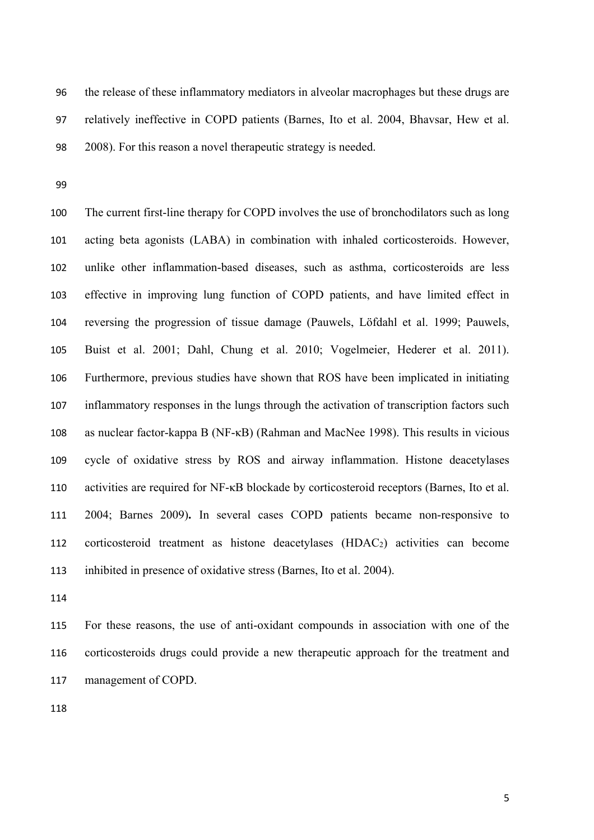the release of these inflammatory mediators in alveolar macrophages but these drugs are relatively ineffective in COPD patients (Barnes, Ito et al. 2004, Bhavsar, Hew et al. 2008). For this reason a novel therapeutic strategy is needed.

 The current first-line therapy for COPD involves the use of bronchodilators such as long acting beta agonists (LABA) in combination with inhaled corticosteroids. However, unlike other inflammation-based diseases, such as asthma, corticosteroids are less effective in improving lung function of COPD patients, and have limited effect in reversing the progression of tissue damage (Pauwels, Löfdahl et al. 1999; Pauwels, Buist et al. 2001; Dahl, Chung et al. 2010; Vogelmeier, Hederer et al. 2011). Furthermore, previous studies have shown that ROS have been implicated in initiating inflammatory responses in the lungs through the activation of transcription factors such as nuclear factor-kappa B (NF-κB) (Rahman and MacNee 1998). This results in vicious cycle of oxidative stress by ROS and airway inflammation. Histone deacetylases activities are required for NF-κB blockade by corticosteroid receptors (Barnes, Ito et al. 2004; Barnes 2009)**.** In several cases COPD patients became non-responsive to corticosteroid treatment as histone deacetylases (HDAC2) activities can become inhibited in presence of oxidative stress (Barnes, Ito et al. 2004).

 For these reasons, the use of anti-oxidant compounds in association with one of the corticosteroids drugs could provide a new therapeutic approach for the treatment and management of COPD.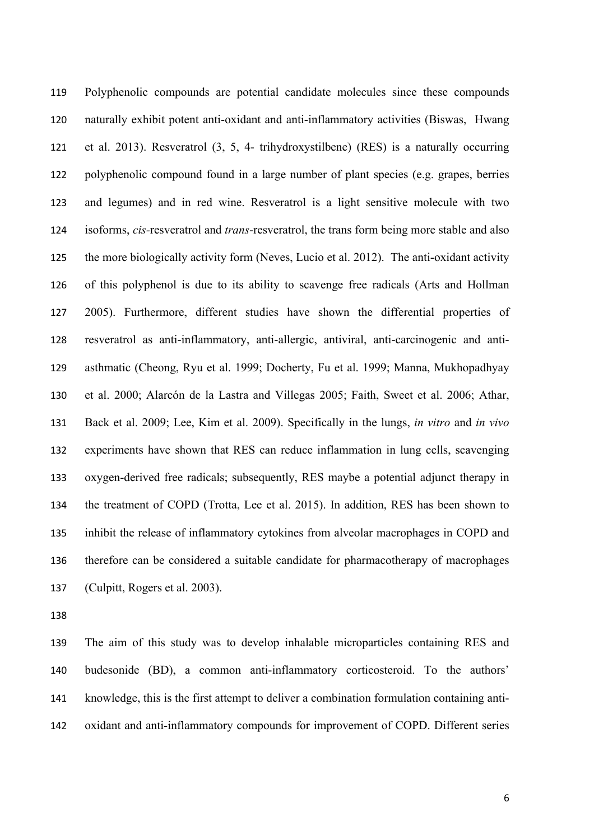Polyphenolic compounds are potential candidate molecules since these compounds naturally exhibit potent anti-oxidant and anti-inflammatory activities (Biswas, Hwang et al. 2013). Resveratrol (3, 5, 4- trihydroxystilbene) (RES) is a naturally occurring polyphenolic compound found in a large number of plant species (e.g. grapes, berries and legumes) and in red wine. Resveratrol is a light sensitive molecule with two isoforms, *cis-*resveratrol and *trans*-resveratrol, the trans form being more stable and also the more biologically activity form (Neves, Lucio et al. 2012). The anti-oxidant activity of this polyphenol is due to its ability to scavenge free radicals (Arts and Hollman 2005). Furthermore, different studies have shown the differential properties of resveratrol as anti-inflammatory, anti-allergic, antiviral, anti-carcinogenic and anti- asthmatic (Cheong, Ryu et al. 1999; Docherty, Fu et al. 1999; Manna, Mukhopadhyay et al. 2000; Alarcón de la Lastra and Villegas 2005; Faith, Sweet et al. 2006; Athar, Back et al. 2009; Lee, Kim et al. 2009). Specifically in the lungs, *in vitro* and *in vivo* experiments have shown that RES can reduce inflammation in lung cells, scavenging oxygen-derived free radicals; subsequently, RES maybe a potential adjunct therapy in the treatment of COPD (Trotta, Lee et al. 2015). In addition, RES has been shown to inhibit the release of inflammatory cytokines from alveolar macrophages in COPD and therefore can be considered a suitable candidate for pharmacotherapy of macrophages (Culpitt, Rogers et al. 2003).

 The aim of this study was to develop inhalable microparticles containing RES and budesonide (BD), a common anti-inflammatory corticosteroid. To the authors' knowledge, this is the first attempt to deliver a combination formulation containing anti-oxidant and anti-inflammatory compounds for improvement of COPD. Different series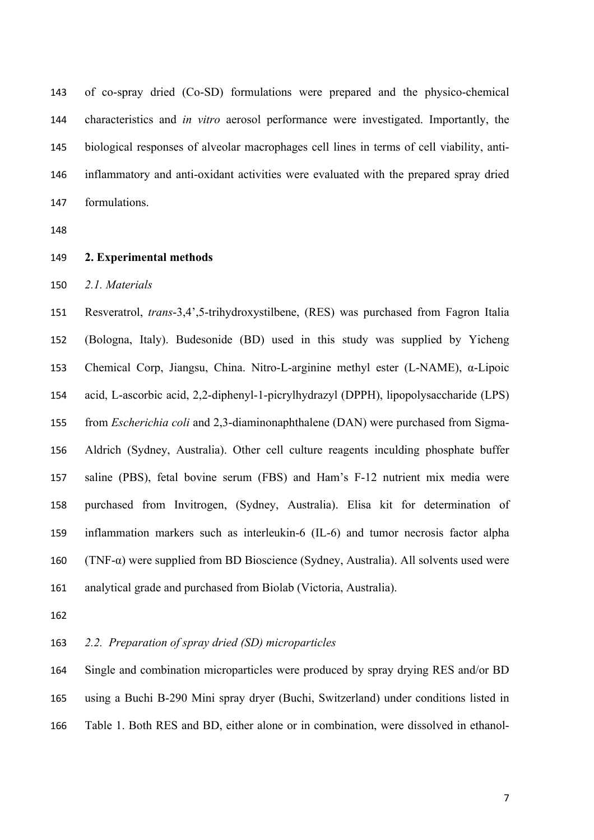of co-spray dried (Co-SD) formulations were prepared and the physico-chemical characteristics and *in vitro* aerosol performance were investigated. Importantly, the biological responses of alveolar macrophages cell lines in terms of cell viability, anti- inflammatory and anti-oxidant activities were evaluated with the prepared spray dried formulations.

## **2. Experimental methods**

*2.1. Materials*

 Resveratrol, *trans*-3,4',5-trihydroxystilbene, (RES) was purchased from Fagron Italia (Bologna, Italy). Budesonide (BD) used in this study was supplied by Yicheng Chemical Corp, Jiangsu, China. Nitro-L-arginine methyl ester (L-NAME), α-Lipoic acid, L-ascorbic acid, 2,2-diphenyl-1-picrylhydrazyl (DPPH), lipopolysaccharide (LPS) from *Escherichia coli* and 2,3-diaminonaphthalene (DAN) were purchased from Sigma- Aldrich (Sydney, Australia). Other cell culture reagents inculding phosphate buffer saline (PBS), fetal bovine serum (FBS) and Ham's F-12 nutrient mix media were purchased from Invitrogen, (Sydney, Australia). Elisa kit for determination of inflammation markers such as interleukin-6 (IL-6) and tumor necrosis factor alpha (TNF-α) were supplied from BD Bioscience (Sydney, Australia). All solvents used were analytical grade and purchased from Biolab (Victoria, Australia).

## *2.2. Preparation of spray dried (SD) microparticles*

 Single and combination microparticles were produced by spray drying RES and/or BD using a Buchi B-290 Mini spray dryer (Buchi, Switzerland) under conditions listed in Table 1. Both RES and BD, either alone or in combination, were dissolved in ethanol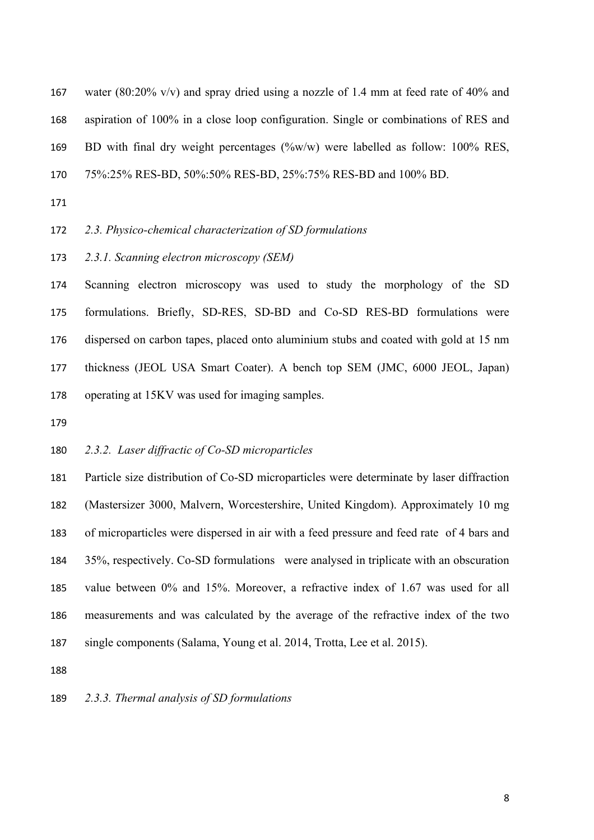water (80:20% v/v) and spray dried using a nozzle of 1.4 mm at feed rate of 40% and aspiration of 100% in a close loop configuration. Single or combinations of RES and BD with final dry weight percentages (%w/w) were labelled as follow: 100% RES, 75%:25% RES-BD, 50%:50% RES-BD, 25%:75% RES-BD and 100% BD.

## *2.3. Physico-chemical characterization of SD formulations*

*2.3.1. Scanning electron microscopy (SEM)*

 Scanning electron microscopy was used to study the morphology of the SD formulations. Briefly, SD-RES, SD-BD and Co-SD RES-BD formulations were dispersed on carbon tapes, placed onto aluminium stubs and coated with gold at 15 nm thickness (JEOL USA Smart Coater). A bench top SEM (JMC, 6000 JEOL, Japan) operating at 15KV was used for imaging samples.

## *2.3.2. Laser diffractic of Co-SD microparticles*

 Particle size distribution of Co-SD microparticles were determinate by laser diffraction (Mastersizer 3000, Malvern, Worcestershire, United Kingdom). Approximately 10 mg of microparticles were dispersed in air with a feed pressure and feed rate of 4 bars and 35%, respectively. Co-SD formulations were analysed in triplicate with an obscuration value between 0% and 15%. Moreover, a refractive index of 1.67 was used for all measurements and was calculated by the average of the refractive index of the two single components (Salama, Young et al. 2014, Trotta, Lee et al. 2015).

# *2.3.3. Thermal analysis of SD formulations*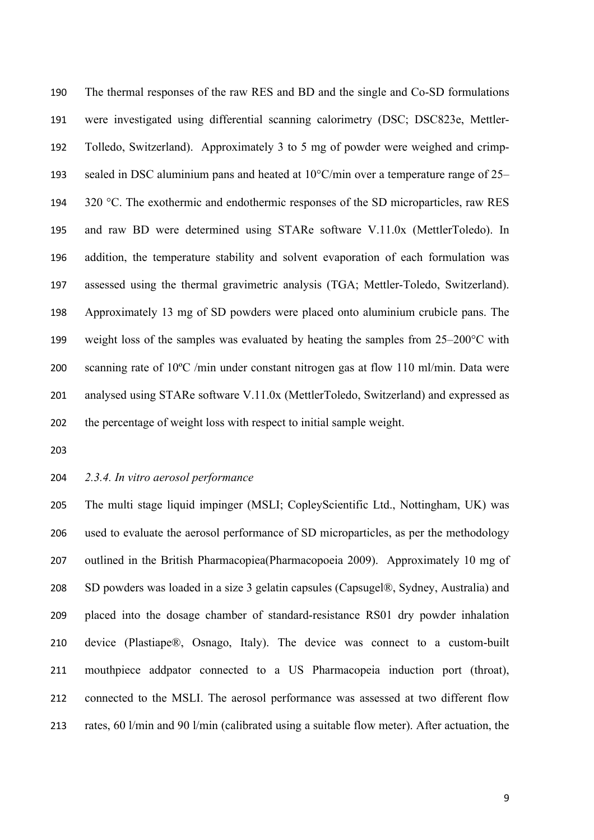The thermal responses of the raw RES and BD and the single and Co-SD formulations were investigated using differential scanning calorimetry (DSC; DSC823e, Mettler- Tolledo, Switzerland). Approximately 3 to 5 mg of powder were weighed and crimp- sealed in DSC aluminium pans and heated at 10°C/min over a temperature range of 25– 194 320 °C. The exothermic and endothermic responses of the SD microparticles, raw RES and raw BD were determined using STARe software V.11.0x (MettlerToledo). In addition, the temperature stability and solvent evaporation of each formulation was assessed using the thermal gravimetric analysis (TGA; Mettler-Toledo, Switzerland). Approximately 13 mg of SD powders were placed onto aluminium crubicle pans. The weight loss of the samples was evaluated by heating the samples from 25–200°C with scanning rate of 10ºC /min under constant nitrogen gas at flow 110 ml/min. Data were analysed using STARe software V.11.0x (MettlerToledo, Switzerland) and expressed as the percentage of weight loss with respect to initial sample weight.

- 
- 

# *2.3.4. In vitro aerosol performance*

 The multi stage liquid impinger (MSLI; CopleyScientific Ltd., Nottingham, UK) was used to evaluate the aerosol performance of SD microparticles, as per the methodology outlined in the British Pharmacopiea(Pharmacopoeia 2009). Approximately 10 mg of SD powders was loaded in a size 3 gelatin capsules (Capsugel®, Sydney, Australia) and placed into the dosage chamber of standard-resistance RS01 dry powder inhalation device (Plastiape®, Osnago, Italy). The device was connect to a custom-built mouthpiece addpator connected to a US Pharmacopeia induction port (throat), connected to the MSLI. The aerosol performance was assessed at two different flow rates, 60 l/min and 90 l/min (calibrated using a suitable flow meter). After actuation, the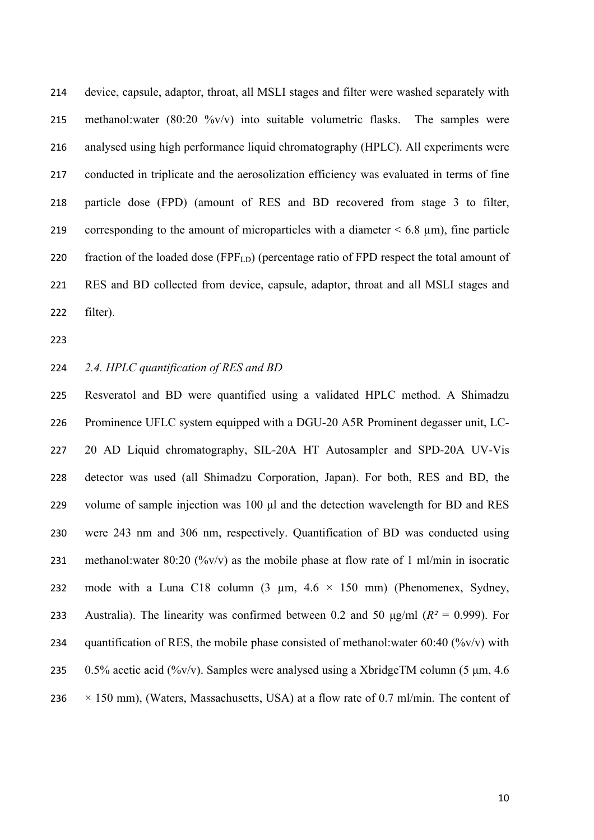device, capsule, adaptor, throat, all MSLI stages and filter were washed separately with methanol:water (80:20 %v/v) into suitable volumetric flasks. The samples were analysed using high performance liquid chromatography (HPLC). All experiments were conducted in triplicate and the aerosolization efficiency was evaluated in terms of fine particle dose (FPD) (amount of RES and BD recovered from stage 3 to filter, 219 corresponding to the amount of microparticles with a diameter  $\leq 6.8 \text{ }\mu\text{m}$ ), fine particle 220 fraction of the loaded dose (FPF<sub>LD</sub>) (percentage ratio of FPD respect the total amount of RES and BD collected from device, capsule, adaptor, throat and all MSLI stages and filter).

## *2.4. HPLC quantification of RES and BD*

 Resveratol and BD were quantified using a validated HPLC method. A Shimadzu Prominence UFLC system equipped with a DGU-20 A5R Prominent degasser unit, LC- 20 AD Liquid chromatography, SIL-20A HT Autosampler and SPD-20A UV-Vis detector was used (all Shimadzu Corporation, Japan). For both, RES and BD, the volume of sample injection was 100 μl and the detection wavelength for BD and RES were 243 nm and 306 nm, respectively. Quantification of BD was conducted using 231 methanol:water 80:20 (%v/v) as the mobile phase at flow rate of 1 ml/min in isocratic 232 mode with a Luna C18 column  $(3 \mu m, 4.6 \times 150 \mu m)$  (Phenomenex, Sydney, 233 Australia). The linearity was confirmed between 0.2 and 50  $\mu$ g/ml ( $R^2 = 0.999$ ). For 234 quantification of RES, the mobile phase consisted of methanol:water  $60:40$  (%v/v) with 235 0.5% acetic acid (%v/v). Samples were analysed using a XbridgeTM column (5  $\mu$ m, 4.6) 236  $\times$  150 mm), (Waters, Massachusetts, USA) at a flow rate of 0.7 ml/min. The content of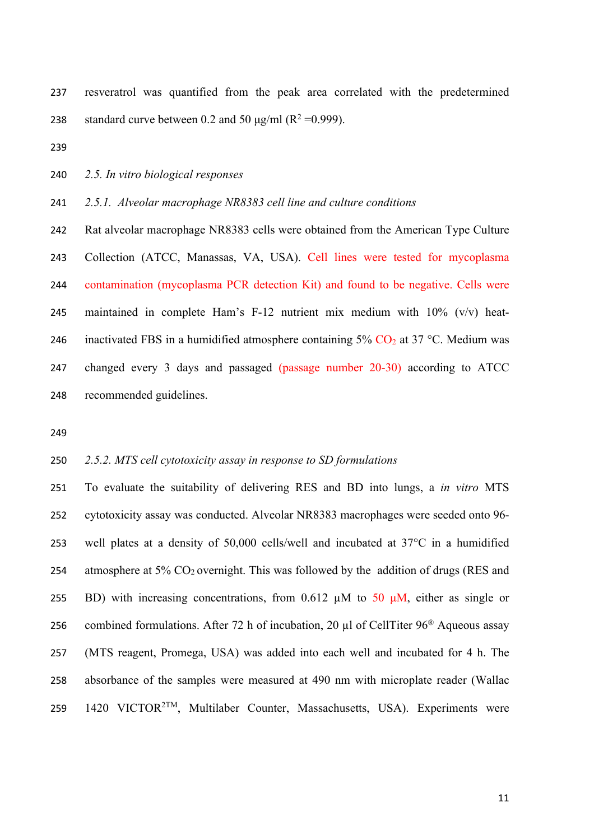resveratrol was quantified from the peak area correlated with the predetermined 238 standard curve between 0.2 and 50  $\mu$ g/ml (R<sup>2</sup> =0.999).

- 
- *2.5. In vitro biological responses*

*2.5.1. Alveolar macrophage NR8383 cell line and culture conditions*

 Rat alveolar macrophage NR8383 cells were obtained from the American Type Culture Collection (ATCC, Manassas, VA, USA). Cell lines were tested for mycoplasma contamination (mycoplasma PCR detection Kit) and found to be negative. Cells were 245 maintained in complete Ham's F-12 nutrient mix medium with  $10\%$  (v/v) heat-246 inactivated FBS in a humidified atmosphere containing  $5\%$  CO<sub>2</sub> at 37 °C. Medium was changed every 3 days and passaged (passage number 20-30) according to ATCC recommended guidelines.

### *2.5.2. MTS cell cytotoxicity assay in response to SD formulations*

 To evaluate the suitability of delivering RES and BD into lungs, a *in vitro* MTS cytotoxicity assay was conducted. Alveolar NR8383 macrophages were seeded onto 96- well plates at a density of 50,000 cells/well and incubated at 37°C in a humidified 254 atmosphere at 5%  $CO_2$  overnight. This was followed by the addition of drugs (RES and 255 BD) with increasing concentrations, from 0.612  $\mu$ M to 50  $\mu$ M, either as single or 256 combined formulations. After 72 h of incubation, 20  $\mu$ l of CellTiter 96<sup>®</sup> Aqueous assay (MTS reagent, Promega, USA) was added into each well and incubated for 4 h. The absorbance of the samples were measured at 490 nm with microplate reader (Wallac 259 1420 VICTOR<sup>2TM</sup>, Multilaber Counter, Massachusetts, USA). Experiments were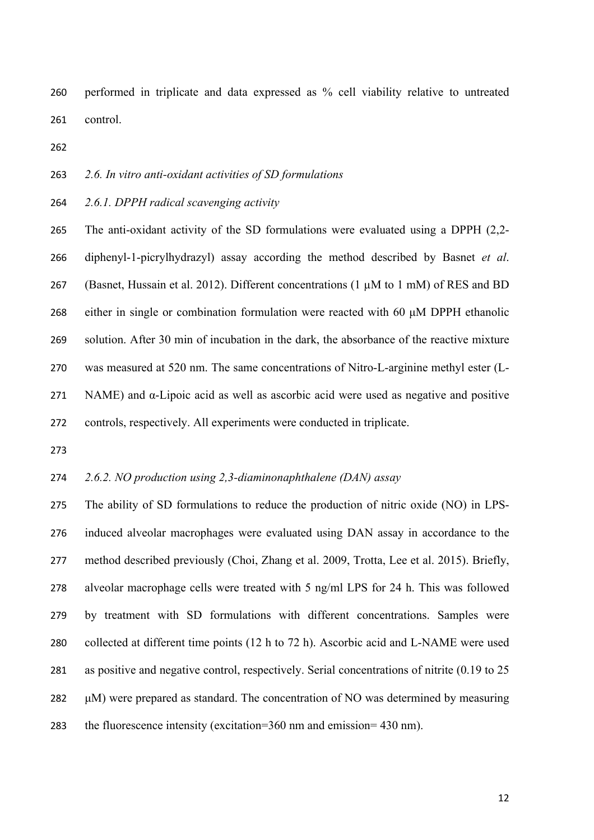performed in triplicate and data expressed as % cell viability relative to untreated control.

*2.6. In vitro anti-oxidant activities of SD formulations*

*2.6.1. DPPH radical scavenging activity*

 The anti-oxidant activity of the SD formulations were evaluated using a DPPH (2,2- diphenyl-1-picrylhydrazyl) assay according the method described by Basnet *et al*. (Basnet, Hussain et al. 2012). Different concentrations (1 µM to 1 mM) of RES and BD either in single or combination formulation were reacted with 60 μM DPPH ethanolic solution. After 30 min of incubation in the dark, the absorbance of the reactive mixture was measured at 520 nm. The same concentrations of Nitro-L-arginine methyl ester (L-271 NAME) and  $\alpha$ -Lipoic acid as well as ascorbic acid were used as negative and positive controls, respectively. All experiments were conducted in triplicate.

*2.6.2. NO production using 2,3-diaminonaphthalene (DAN) assay* 

 The ability of SD formulations to reduce the production of nitric oxide (NO) in LPS- induced alveolar macrophages were evaluated using DAN assay in accordance to the method described previously (Choi, Zhang et al. 2009, Trotta, Lee et al. 2015). Briefly, alveolar macrophage cells were treated with 5 ng/ml LPS for 24 h. This was followed by treatment with SD formulations with different concentrations. Samples were collected at different time points (12 h to 72 h). Ascorbic acid and L-NAME were used as positive and negative control, respectively. Serial concentrations of nitrite (0.19 to 25 μM) were prepared as standard. The concentration of NO was determined by measuring the fluorescence intensity (excitation=360 nm and emission= 430 nm).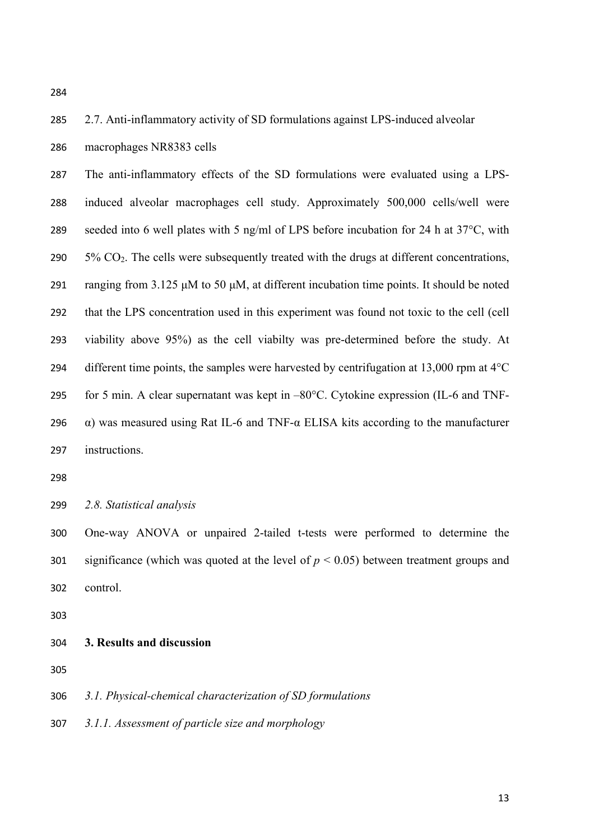# 2.7. Anti-inflammatory activity of SD formulations against LPS-induced alveolar macrophages NR8383 cells

 The anti-inflammatory effects of the SD formulations were evaluated using a LPS- induced alveolar macrophages cell study. Approximately 500,000 cells/well were seeded into 6 well plates with 5 ng/ml of LPS before incubation for 24 h at 37°C, with  $5\%$  CO<sub>2</sub>. The cells were subsequently treated with the drugs at different concentrations, ranging from 3.125 μM to 50 μM, at different incubation time points. It should be noted that the LPS concentration used in this experiment was found not toxic to the cell (cell viability above 95%) as the cell viabilty was pre-determined before the study. At 294 different time points, the samples were harvested by centrifugation at  $13,000$  rpm at  $4^{\circ}$ C for 5 min. A clear supernatant was kept in –80°C. Cytokine expression (IL-6 and TNF- $\alpha$ ) was measured using Rat IL-6 and TNF- $\alpha$  ELISA kits according to the manufacturer instructions.

*2.8. Statistical analysis*

 One-way ANOVA or unpaired 2-tailed t-tests were performed to determine the significance (which was quoted at the level of *p* < 0.05) between treatment groups and control.

**3. Results and discussion**

*3.1. Physical-chemical characterization of SD formulations*

*3.1.1. Assessment of particle size and morphology*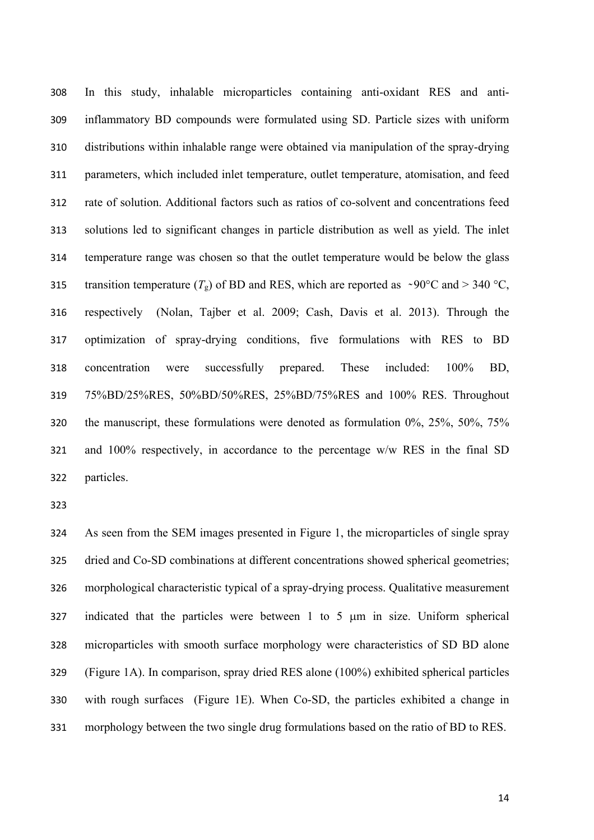In this study, inhalable microparticles containing anti-oxidant RES and anti- inflammatory BD compounds were formulated using SD. Particle sizes with uniform distributions within inhalable range were obtained via manipulation of the spray-drying parameters, which included inlet temperature, outlet temperature, atomisation, and feed rate of solution. Additional factors such as ratios of co-solvent and concentrations feed solutions led to significant changes in particle distribution as well as yield. The inlet temperature range was chosen so that the outlet temperature would be below the glass 315 transition temperature  $(T_g)$  of BD and RES, which are reported as  $\sim 90^{\circ}$ C and  $> 340^{\circ}$ C, respectively (Nolan, Tajber et al. 2009; Cash, Davis et al. 2013). Through the optimization of spray-drying conditions, five formulations with RES to BD concentration were successfully prepared. These included: 100% BD, 75%BD/25%RES, 50%BD/50%RES, 25%BD/75%RES and 100% RES. Throughout the manuscript, these formulations were denoted as formulation 0%, 25%, 50%, 75% and 100% respectively, in accordance to the percentage w/w RES in the final SD particles.

 As seen from the SEM images presented in Figure 1, the microparticles of single spray dried and Co-SD combinations at different concentrations showed spherical geometries; morphological characteristic typical of a spray-drying process. Qualitative measurement indicated that the particles were between 1 to 5 µm in size. Uniform spherical microparticles with smooth surface morphology were characteristics of SD BD alone (Figure 1A). In comparison, spray dried RES alone (100%) exhibited spherical particles with rough surfaces (Figure 1E). When Co-SD, the particles exhibited a change in morphology between the two single drug formulations based on the ratio of BD to RES.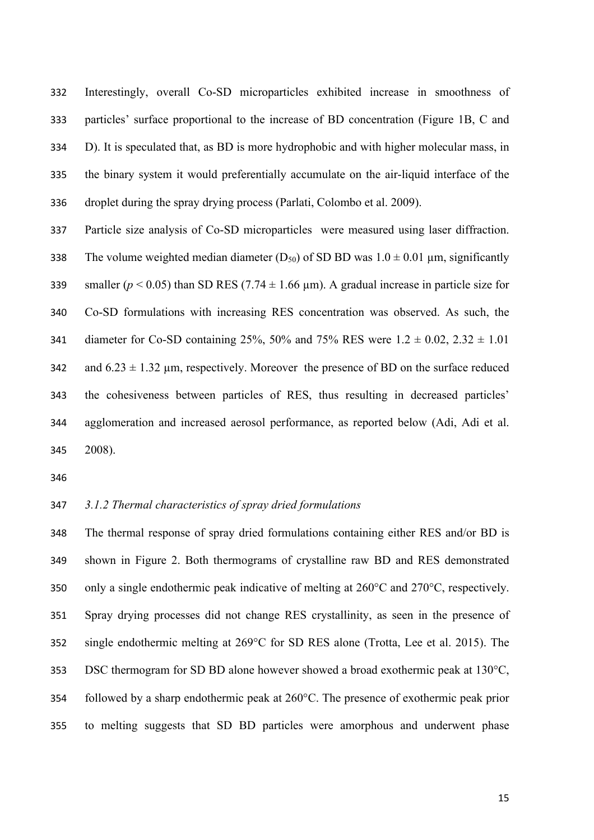Interestingly, overall Co-SD microparticles exhibited increase in smoothness of particles' surface proportional to the increase of BD concentration (Figure 1B, C and D). It is speculated that, as BD is more hydrophobic and with higher molecular mass, in the binary system it would preferentially accumulate on the air-liquid interface of the droplet during the spray drying process (Parlati, Colombo et al. 2009).

 Particle size analysis of Co-SD microparticles were measured using laser diffraction. 338 The volume weighted median diameter  $(D_{50})$  of SD BD was  $1.0 \pm 0.01$  µm, significantly 339 smaller ( $p < 0.05$ ) than SD RES (7.74  $\pm$  1.66  $\mu$ m). A gradual increase in particle size for Co-SD formulations with increasing RES concentration was observed. As such, the 341 diameter for Co-SD containing 25%, 50% and 75% RES were  $1.2 \pm 0.02$ ,  $2.32 \pm 1.01$ 342 and  $6.23 \pm 1.32$  um, respectively. Moreover the presence of BD on the surface reduced the cohesiveness between particles of RES, thus resulting in decreased particles' agglomeration and increased aerosol performance, as reported below (Adi, Adi et al. 2008).

## *3.1.2 Thermal characteristics of spray dried formulations*

 The thermal response of spray dried formulations containing either RES and/or BD is shown in Figure 2. Both thermograms of crystalline raw BD and RES demonstrated only a single endothermic peak indicative of melting at 260°C and 270°C, respectively. Spray drying processes did not change RES crystallinity, as seen in the presence of single endothermic melting at 269°C for SD RES alone (Trotta, Lee et al. 2015). The DSC thermogram for SD BD alone however showed a broad exothermic peak at 130°C, followed by a sharp endothermic peak at 260°C. The presence of exothermic peak prior to melting suggests that SD BD particles were amorphous and underwent phase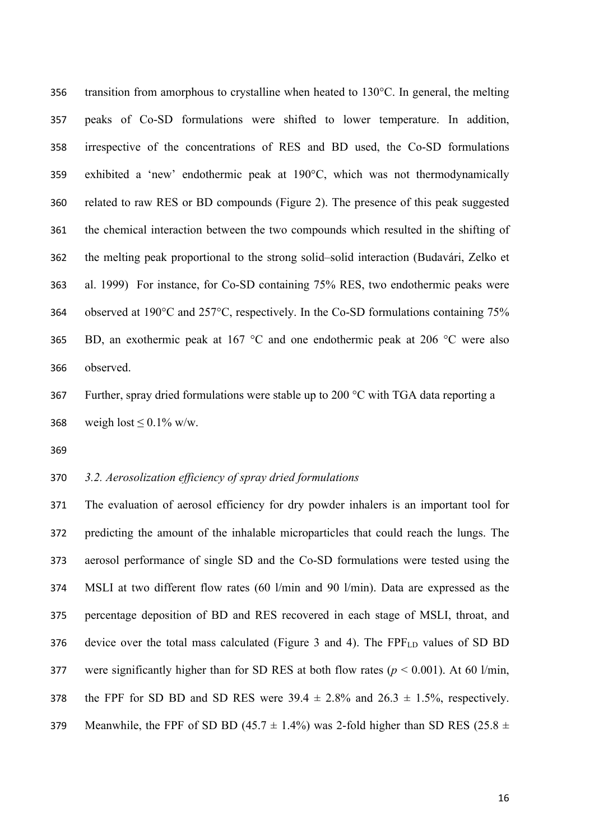transition from amorphous to crystalline when heated to 130°C. In general, the melting peaks of Co-SD formulations were shifted to lower temperature. In addition, irrespective of the concentrations of RES and BD used, the Co-SD formulations exhibited a 'new' endothermic peak at 190°C, which was not thermodynamically related to raw RES or BD compounds (Figure 2). The presence of this peak suggested the chemical interaction between the two compounds which resulted in the shifting of the melting peak proportional to the strong solid–solid interaction (Budavári, Zelko et al. 1999) For instance, for Co-SD containing 75% RES, two endothermic peaks were observed at 190°C and 257°C, respectively. In the Co-SD formulations containing 75% 365 BD, an exothermic peak at  $167 \text{ °C}$  and one endothermic peak at  $206 \text{ °C}$  were also observed.

 Further, spray dried formulations were stable up to 200 °C with TGA data reporting a 368 weigh lost  $\leq 0.1\%$  w/w.

# *3.2. Aerosolization efficiency of spray dried formulations*

 The evaluation of aerosol efficiency for dry powder inhalers is an important tool for predicting the amount of the inhalable microparticles that could reach the lungs. The aerosol performance of single SD and the Co-SD formulations were tested using the MSLI at two different flow rates (60 l/min and 90 l/min). Data are expressed as the percentage deposition of BD and RES recovered in each stage of MSLI, throat, and 376 device over the total mass calculated (Figure 3 and 4). The  $FPF<sub>LD</sub>$  values of SD BD 377 were significantly higher than for SD RES at both flow rates  $(p < 0.001)$ . At 60 l/min, 378 the FPF for SD BD and SD RES were  $39.4 \pm 2.8\%$  and  $26.3 \pm 1.5\%$ , respectively. 379 Meanwhile, the FPF of SD BD (45.7  $\pm$  1.4%) was 2-fold higher than SD RES (25.8  $\pm$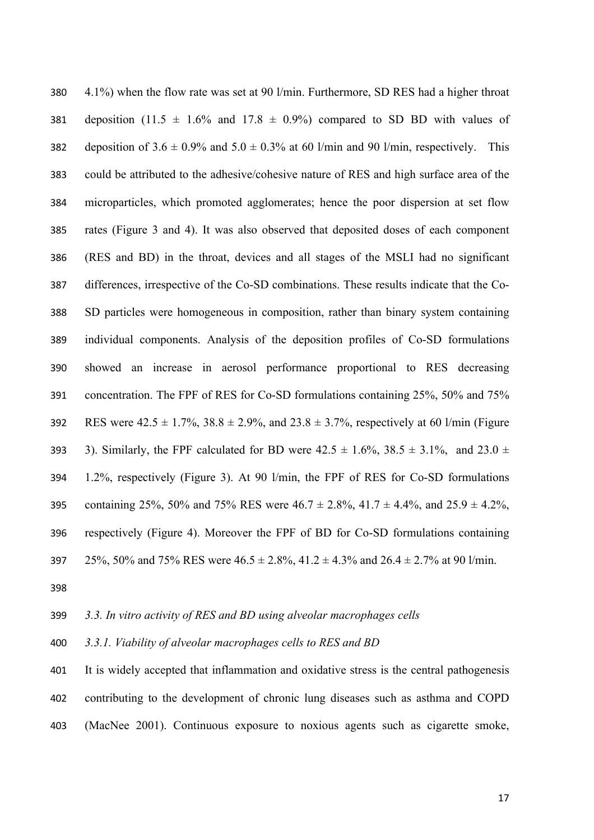4.1%) when the flow rate was set at 90 l/min. Furthermore, SD RES had a higher throat 381 deposition (11.5  $\pm$  1.6% and 17.8  $\pm$  0.9%) compared to SD BD with values of 382 deposition of  $3.6 \pm 0.9\%$  and  $5.0 \pm 0.3\%$  at 60 l/min and 90 l/min, respectively. This could be attributed to the adhesive/cohesive nature of RES and high surface area of the microparticles, which promoted agglomerates; hence the poor dispersion at set flow rates (Figure 3 and 4). It was also observed that deposited doses of each component (RES and BD) in the throat, devices and all stages of the MSLI had no significant differences, irrespective of the Co-SD combinations. These results indicate that the Co- SD particles were homogeneous in composition, rather than binary system containing individual components. Analysis of the deposition profiles of Co-SD formulations showed an increase in aerosol performance proportional to RES decreasing concentration. The FPF of RES for Co-SD formulations containing 25%, 50% and 75% 392 RES were  $42.5 \pm 1.7\%$ ,  $38.8 \pm 2.9\%$ , and  $23.8 \pm 3.7\%$ , respectively at 60 l/min (Figure 393 3). Similarly, the FPF calculated for BD were  $42.5 \pm 1.6\%$ ,  $38.5 \pm 3.1\%$ , and  $23.0 \pm 1.6\%$  1.2%, respectively (Figure 3). At 90 l/min, the FPF of RES for Co-SD formulations 395 containing 25%, 50% and 75% RES were  $46.7 \pm 2.8$ %,  $41.7 \pm 4.4$ %, and  $25.9 \pm 4.2$ %, respectively (Figure 4). Moreover the FPF of BD for Co-SD formulations containing 397 25%, 50% and 75% RES were  $46.5 \pm 2.8$ %,  $41.2 \pm 4.3$ % and  $26.4 \pm 2.7$ % at 90 l/min.

#### *3.3. In vitro activity of RES and BD using alveolar macrophages cells*

*3.3.1. Viability of alveolar macrophages cells to RES and BD* 

 It is widely accepted that inflammation and oxidative stress is the central pathogenesis contributing to the development of chronic lung diseases such as asthma and COPD (MacNee 2001). Continuous exposure to noxious agents such as cigarette smoke,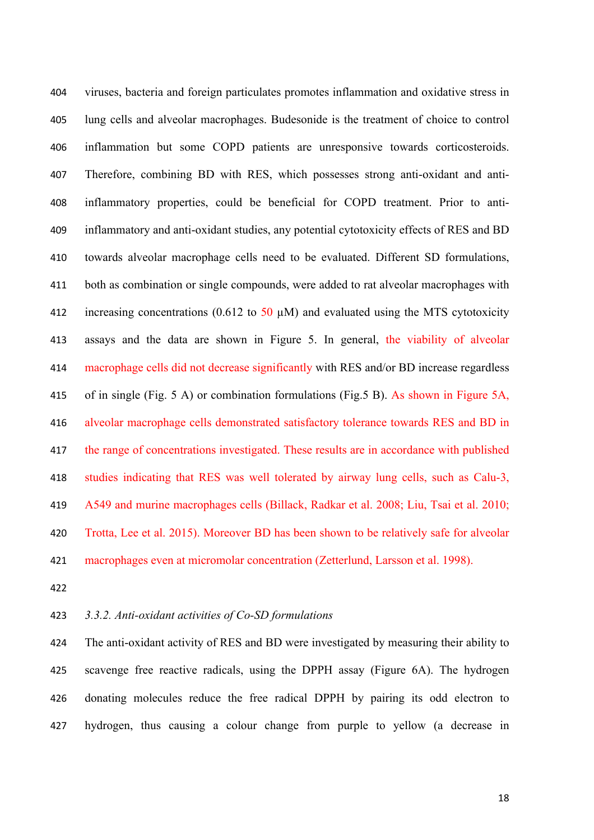viruses, bacteria and foreign particulates promotes inflammation and oxidative stress in lung cells and alveolar macrophages. Budesonide is the treatment of choice to control inflammation but some COPD patients are unresponsive towards corticosteroids. Therefore, combining BD with RES, which possesses strong anti-oxidant and anti- inflammatory properties, could be beneficial for COPD treatment. Prior to anti- inflammatory and anti-oxidant studies, any potential cytotoxicity effects of RES and BD towards alveolar macrophage cells need to be evaluated. Different SD formulations, both as combination or single compounds, were added to rat alveolar macrophages with 412 increasing concentrations (0.612 to  $50 \mu M$ ) and evaluated using the MTS cytotoxicity assays and the data are shown in Figure 5. In general, the viability of alveolar macrophage cells did not decrease significantly with RES and/or BD increase regardless of in single (Fig. 5 A) or combination formulations (Fig.5 B). As shown in Figure 5A, alveolar macrophage cells demonstrated satisfactory tolerance towards RES and BD in the range of concentrations investigated. These results are in accordance with published studies indicating that RES was well tolerated by airway lung cells, such as Calu-3, A549 and murine macrophages cells (Billack, Radkar et al. 2008; Liu, Tsai et al. 2010; Trotta, Lee et al. 2015). Moreover BD has been shown to be relatively safe for alveolar macrophages even at micromolar concentration (Zetterlund, Larsson et al. 1998).

#### *3.3.2. Anti-oxidant activities of Co-SD formulations*

 The anti-oxidant activity of RES and BD were investigated by measuring their ability to scavenge free reactive radicals, using the DPPH assay (Figure 6A). The hydrogen donating molecules reduce the free radical DPPH by pairing its odd electron to hydrogen, thus causing a colour change from purple to yellow (a decrease in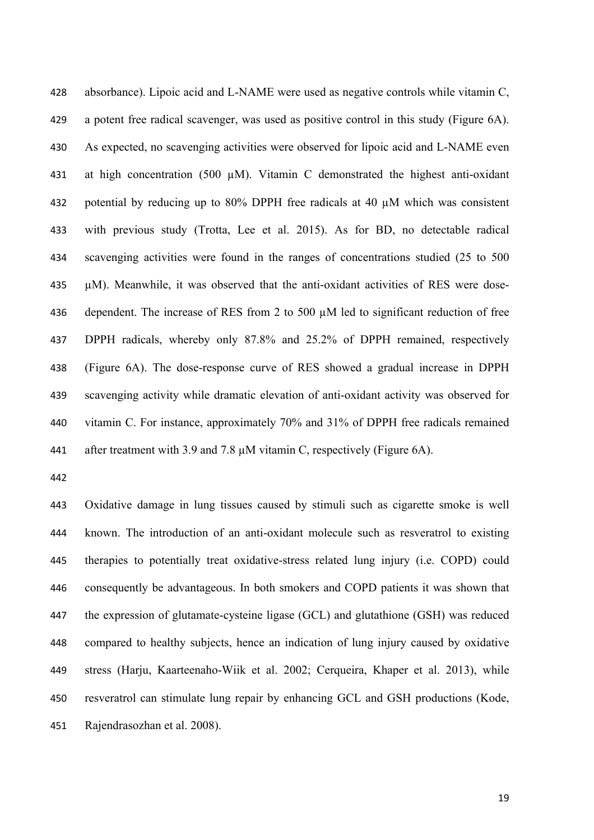absorbance). Lipoic acid and L-NAME were used as negative controls while vitamin C, a potent free radical scavenger, was used as positive control in this study (Figure 6A). As expected, no scavenging activities were observed for lipoic acid and L-NAME even at high concentration (500 µM). Vitamin C demonstrated the highest anti-oxidant potential by reducing up to 80% DPPH free radicals at 40 µM which was consistent with previous study (Trotta, Lee et al. 2015). As for BD, no detectable radical scavenging activities were found in the ranges of concentrations studied (25 to 500 µM). Meanwhile, it was observed that the anti-oxidant activities of RES were dose- dependent. The increase of RES from 2 to 500 µM led to significant reduction of free DPPH radicals, whereby only 87.8% and 25.2% of DPPH remained, respectively (Figure 6A). The dose-response curve of RES showed a gradual increase in DPPH scavenging activity while dramatic elevation of anti-oxidant activity was observed for vitamin C. For instance, approximately 70% and 31% of DPPH free radicals remained 441 after treatment with 3.9 and 7.8  $\mu$ M vitamin C, respectively (Figure 6A).

 Oxidative damage in lung tissues caused by stimuli such as cigarette smoke is well known. The introduction of an anti-oxidant molecule such as resveratrol to existing therapies to potentially treat oxidative-stress related lung injury (i.e. COPD) could consequently be advantageous. In both smokers and COPD patients it was shown that the expression of glutamate-cysteine ligase (GCL) and glutathione (GSH) was reduced compared to healthy subjects, hence an indication of lung injury caused by oxidative stress (Harju, Kaarteenaho-Wiik et al. 2002; Cerqueira, Khaper et al. 2013), while resveratrol can stimulate lung repair by enhancing GCL and GSH productions (Kode, Rajendrasozhan et al. 2008).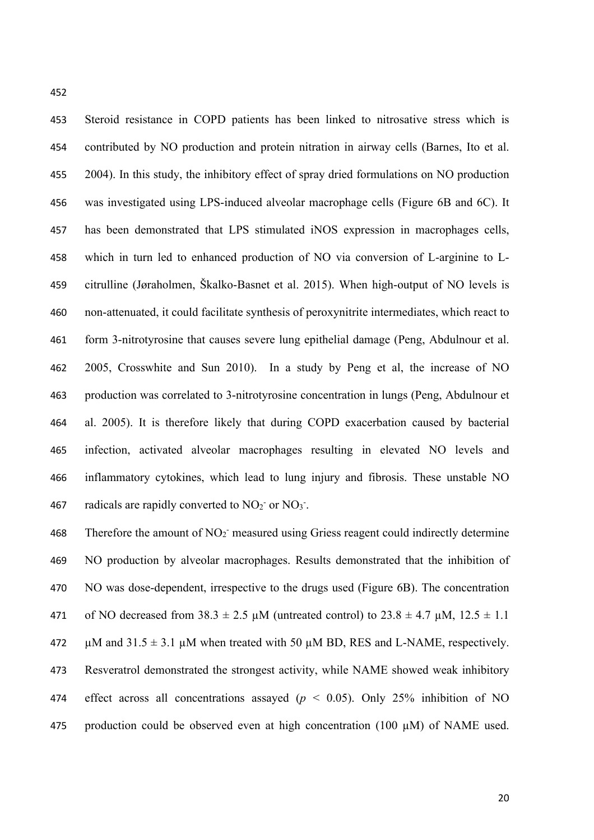Steroid resistance in COPD patients has been linked to nitrosative stress which is contributed by NO production and protein nitration in airway cells (Barnes, Ito et al. 2004). In this study, the inhibitory effect of spray dried formulations on NO production was investigated using LPS-induced alveolar macrophage cells (Figure 6B and 6C). It has been demonstrated that LPS stimulated iNOS expression in macrophages cells, which in turn led to enhanced production of NO via conversion of L-arginine to L- citrulline (Jøraholmen, Škalko-Basnet et al. 2015). When high-output of NO levels is non-attenuated, it could facilitate synthesis of peroxynitrite intermediates, which react to form 3-nitrotyrosine that causes severe lung epithelial damage (Peng, Abdulnour et al. 2005, Crosswhite and Sun 2010). In a study by Peng et al, the increase of NO production was correlated to 3-nitrotyrosine concentration in lungs (Peng, Abdulnour et al. 2005). It is therefore likely that during COPD exacerbation caused by bacterial infection, activated alveolar macrophages resulting in elevated NO levels and inflammatory cytokines, which lead to lung injury and fibrosis. These unstable NO 467 radicals are rapidly converted to  $NO<sub>2</sub>$  or  $NO<sub>3</sub>$ .

468 - Therefore the amount of  $NO<sub>2</sub>$  measured using Griess reagent could indirectly determine NO production by alveolar macrophages. Results demonstrated that the inhibition of NO was dose-dependent, irrespective to the drugs used (Figure 6B). The concentration 471 of NO decreased from  $38.3 \pm 2.5 \mu$ M (untreated control) to  $23.8 \pm 4.7 \mu$ M,  $12.5 \pm 1.1$ 472  $\mu$ M and 31.5  $\pm$  3.1  $\mu$ M when treated with 50  $\mu$ M BD, RES and L-NAME, respectively. Resveratrol demonstrated the strongest activity, while NAME showed weak inhibitory 474 effect across all concentrations assayed ( $p < 0.05$ ). Only 25% inhibition of NO 475 production could be observed even at high concentration  $(100 \mu M)$  of NAME used.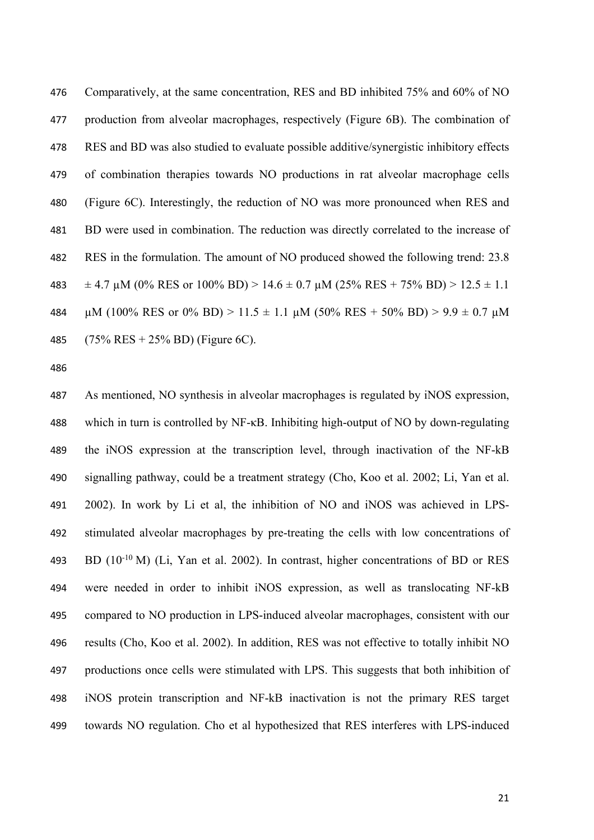Comparatively, at the same concentration, RES and BD inhibited 75% and 60% of NO production from alveolar macrophages, respectively (Figure 6B). The combination of RES and BD was also studied to evaluate possible additive/synergistic inhibitory effects of combination therapies towards NO productions in rat alveolar macrophage cells (Figure 6C). Interestingly, the reduction of NO was more pronounced when RES and BD were used in combination. The reduction was directly correlated to the increase of RES in the formulation. The amount of NO produced showed the following trend: 23.8  $\pm$  4.7 µM (0% RES or 100% BD) > 14.6  $\pm$  0.7 µM (25% RES + 75% BD) > 12.5  $\pm$  1.1  $\mu$ M (100% RES or 0% BD) > 11.5  $\pm$  1.1  $\mu$ M (50% RES + 50% BD) > 9.9  $\pm$  0.7  $\mu$ M (75% RES + 25% BD) (Figure 6C).

 As mentioned, NO synthesis in alveolar macrophages is regulated by iNOS expression, which in turn is controlled by NF-κB. Inhibiting high-output of NO by down-regulating the iNOS expression at the transcription level, through inactivation of the NF-kB signalling pathway, could be a treatment strategy (Cho, Koo et al. 2002; Li, Yan et al. 2002). In work by Li et al, the inhibition of NO and iNOS was achieved in LPS- stimulated alveolar macrophages by pre-treating the cells with low concentrations of 493 BD  $(10^{-10} \text{ M})$  (Li, Yan et al. 2002). In contrast, higher concentrations of BD or RES were needed in order to inhibit iNOS expression, as well as translocating NF-kB compared to NO production in LPS-induced alveolar macrophages, consistent with our results (Cho, Koo et al. 2002). In addition, RES was not effective to totally inhibit NO productions once cells were stimulated with LPS. This suggests that both inhibition of iNOS protein transcription and NF-kB inactivation is not the primary RES target towards NO regulation. Cho et al hypothesized that RES interferes with LPS-induced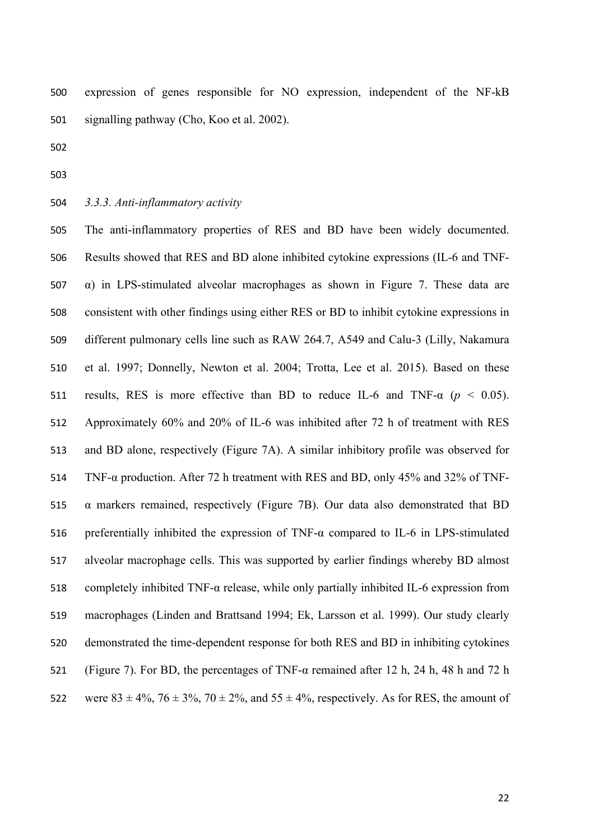expression of genes responsible for NO expression, independent of the NF-kB signalling pathway (Cho, Koo et al. 2002).

- 
- 
- *3.3.3. Anti-inflammatory activity*

 The anti-inflammatory properties of RES and BD have been widely documented. Results showed that RES and BD alone inhibited cytokine expressions (IL-6 and TNF- $\alpha$ ) in LPS-stimulated alveolar macrophages as shown in Figure 7. These data are consistent with other findings using either RES or BD to inhibit cytokine expressions in different pulmonary cells line such as RAW 264.7, A549 and Calu-3 (Lilly, Nakamura et al. 1997; Donnelly, Newton et al. 2004; Trotta, Lee et al. 2015). Based on these 511 results, RES is more effective than BD to reduce IL-6 and TNF- $\alpha$  ( $p < 0.05$ ). Approximately 60% and 20% of IL-6 was inhibited after 72 h of treatment with RES and BD alone, respectively (Figure 7A). A similar inhibitory profile was observed for TNF-α production. After 72 h treatment with RES and BD, only 45% and 32% of TNF- $\alpha$  markers remained, respectively (Figure 7B). Our data also demonstrated that BD 516 preferentially inhibited the expression of TNF- $\alpha$  compared to IL-6 in LPS-stimulated alveolar macrophage cells. This was supported by earlier findings whereby BD almost 518 completely inhibited TNF- $\alpha$  release, while only partially inhibited IL-6 expression from macrophages (Linden and Brattsand 1994; Ek, Larsson et al. 1999). Our study clearly demonstrated the time-dependent response for both RES and BD in inhibiting cytokines (Figure 7). For BD, the percentages of TNF-α remained after 12 h, 24 h, 48 h and 72 h 522 were  $83 \pm 4\%, 76 \pm 3\%, 70 \pm 2\%,$  and  $55 \pm 4\%,$  respectively. As for RES, the amount of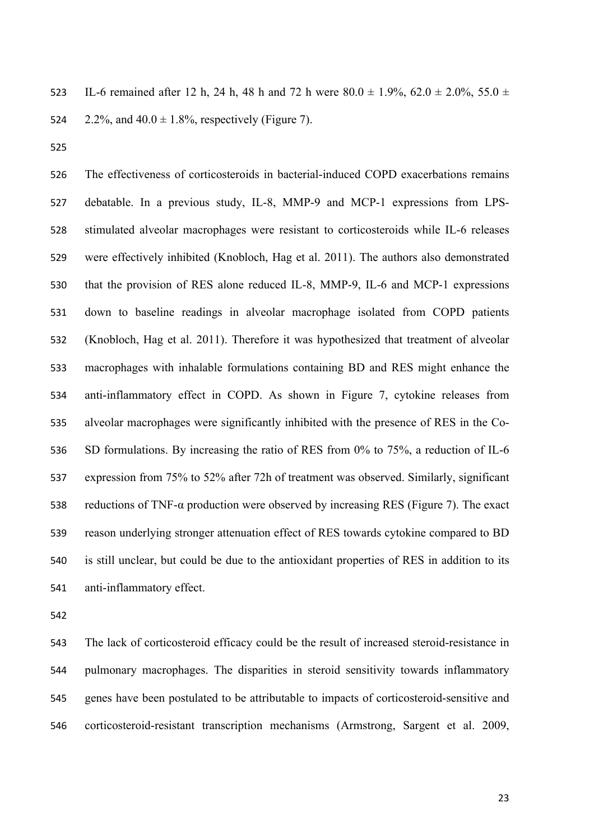523 IL-6 remained after 12 h, 24 h, 48 h and 72 h were  $80.0 \pm 1.9\%$ ,  $62.0 \pm 2.0\%$ ,  $55.0 \pm 1.0\%$ 524 2.2%, and  $40.0 \pm 1.8$ %, respectively (Figure 7).

 The effectiveness of corticosteroids in bacterial-induced COPD exacerbations remains debatable. In a previous study, IL-8, MMP-9 and MCP-1 expressions from LPS- stimulated alveolar macrophages were resistant to corticosteroids while IL-6 releases were effectively inhibited (Knobloch, Hag et al. 2011). The authors also demonstrated that the provision of RES alone reduced IL-8, MMP-9, IL-6 and MCP-1 expressions down to baseline readings in alveolar macrophage isolated from COPD patients (Knobloch, Hag et al. 2011). Therefore it was hypothesized that treatment of alveolar macrophages with inhalable formulations containing BD and RES might enhance the anti-inflammatory effect in COPD. As shown in Figure 7, cytokine releases from alveolar macrophages were significantly inhibited with the presence of RES in the Co- SD formulations. By increasing the ratio of RES from 0% to 75%, a reduction of IL-6 expression from 75% to 52% after 72h of treatment was observed. Similarly, significant reductions of TNF-α production were observed by increasing RES (Figure 7). The exact reason underlying stronger attenuation effect of RES towards cytokine compared to BD is still unclear, but could be due to the antioxidant properties of RES in addition to its anti-inflammatory effect.

 The lack of corticosteroid efficacy could be the result of increased steroid-resistance in pulmonary macrophages. The disparities in steroid sensitivity towards inflammatory genes have been postulated to be attributable to impacts of corticosteroid-sensitive and corticosteroid-resistant transcription mechanisms (Armstrong, Sargent et al. 2009,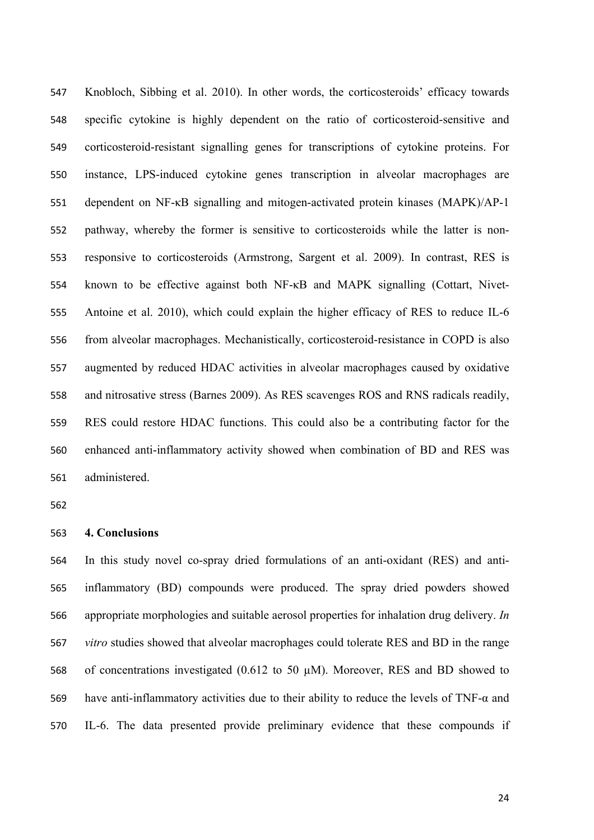Knobloch, Sibbing et al. 2010). In other words, the corticosteroids' efficacy towards specific cytokine is highly dependent on the ratio of corticosteroid-sensitive and corticosteroid-resistant signalling genes for transcriptions of cytokine proteins. For instance, LPS-induced cytokine genes transcription in alveolar macrophages are dependent on NF-κB signalling and mitogen-activated protein kinases (MAPK)/AP-1 pathway, whereby the former is sensitive to corticosteroids while the latter is non- responsive to corticosteroids (Armstrong, Sargent et al. 2009). In contrast, RES is known to be effective against both NF-κB and MAPK signalling (Cottart, Nivet- Antoine et al. 2010), which could explain the higher efficacy of RES to reduce IL-6 from alveolar macrophages. Mechanistically, corticosteroid-resistance in COPD is also augmented by reduced HDAC activities in alveolar macrophages caused by oxidative and nitrosative stress (Barnes 2009). As RES scavenges ROS and RNS radicals readily, RES could restore HDAC functions. This could also be a contributing factor for the enhanced anti-inflammatory activity showed when combination of BD and RES was administered.

### **4. Conclusions**

 In this study novel co-spray dried formulations of an anti-oxidant (RES) and anti- inflammatory (BD) compounds were produced. The spray dried powders showed appropriate morphologies and suitable aerosol properties for inhalation drug delivery. *In vitro* studies showed that alveolar macrophages could tolerate RES and BD in the range of concentrations investigated (0.612 to 50 µM). Moreover, RES and BD showed to have anti-inflammatory activities due to their ability to reduce the levels of TNF-α and IL-6. The data presented provide preliminary evidence that these compounds if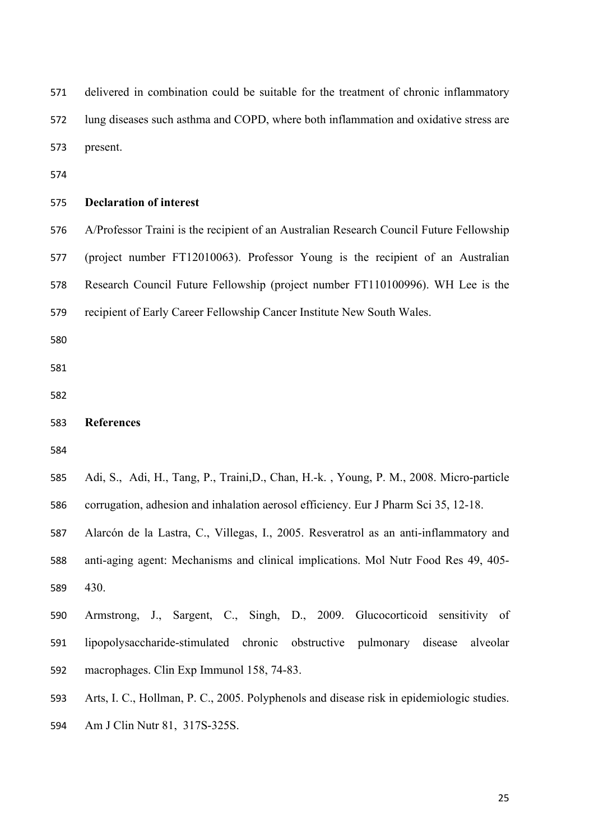delivered in combination could be suitable for the treatment of chronic inflammatory lung diseases such asthma and COPD, where both inflammation and oxidative stress are present. **Declaration of interest** A/Professor Traini is the recipient of an Australian Research Council Future Fellowship (project number FT12010063). Professor Young is the recipient of an Australian Research Council Future Fellowship (project number FT110100996). WH Lee is the recipient of Early Career Fellowship Cancer Institute New South Wales. **References** Adi, S., Adi, H., Tang, P., Traini,D., Chan, H.-k. , Young, P. M., 2008. Micro-particle corrugation, adhesion and inhalation aerosol efficiency. Eur J Pharm Sci 35, 12-18. Alarcón de la Lastra, C., Villegas, I., 2005. Resveratrol as an anti-inflammatory and anti-aging agent: Mechanisms and clinical implications. Mol Nutr Food Res 49, 405- 430.

 Armstrong, J., Sargent, C., Singh, D., 2009. Glucocorticoid sensitivity of lipopolysaccharide-stimulated chronic obstructive pulmonary disease alveolar macrophages. Clin Exp Immunol 158, 74-83.

Arts, I. C., Hollman, P. C., 2005. Polyphenols and disease risk in epidemiologic studies.

Am J Clin Nutr 81, 317S-325S.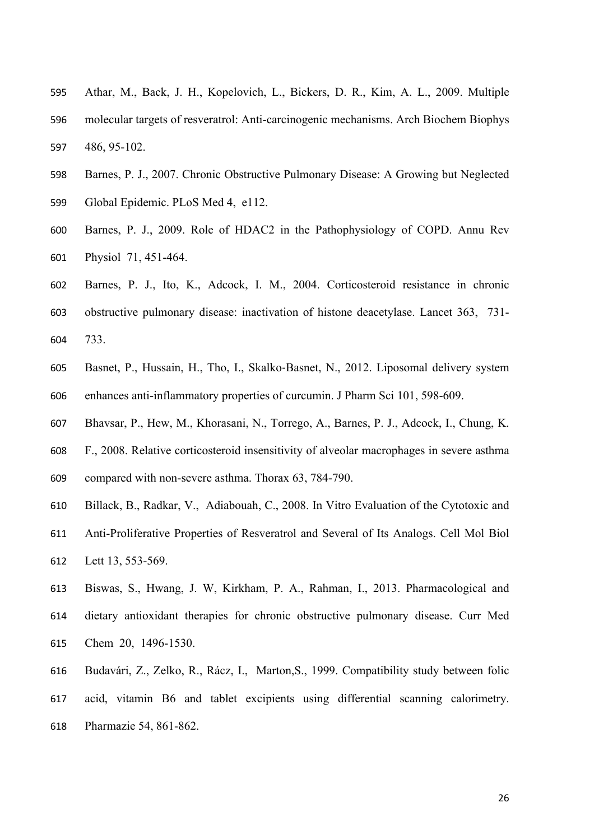- Athar, M., Back, J. H., Kopelovich, L., Bickers, D. R., Kim, A. L., 2009. Multiple molecular targets of resveratrol: Anti-carcinogenic mechanisms. Arch Biochem Biophys 486, 95-102.
- Barnes, P. J., 2007. Chronic Obstructive Pulmonary Disease: A Growing but Neglected Global Epidemic. PLoS Med 4, e112.
- Barnes, P. J., 2009. Role of HDAC2 in the Pathophysiology of COPD. Annu Rev Physiol 71, 451-464.
- Barnes, P. J., Ito, K., Adcock, I. M., 2004. Corticosteroid resistance in chronic obstructive pulmonary disease: inactivation of histone deacetylase. Lancet 363, 731- 733.
- Basnet, P., Hussain, H., Tho, I., Skalko-Basnet, N., 2012. Liposomal delivery system enhances anti-inflammatory properties of curcumin. J Pharm Sci 101, 598-609.
- Bhavsar, P., Hew, M., Khorasani, N., Torrego, A., Barnes, P. J., Adcock, I., Chung, K.
- F., 2008. Relative corticosteroid insensitivity of alveolar macrophages in severe asthma
- compared with non-severe asthma. Thorax 63, 784-790.
- Billack, B., Radkar, V., Adiabouah, C., 2008. In Vitro Evaluation of the Cytotoxic and
- Anti-Proliferative Properties of Resveratrol and Several of Its Analogs. Cell Mol Biol Lett 13, 553-569.
- Biswas, S., Hwang, J. W, Kirkham, P. A., Rahman, I., 2013. Pharmacological and dietary antioxidant therapies for chronic obstructive pulmonary disease. Curr Med Chem 20, 1496-1530.
- Budavári, Z., Zelko, R., Rácz, I., Marton,S., 1999. Compatibility study between folic acid, vitamin B6 and tablet excipients using differential scanning calorimetry. Pharmazie 54, 861-862.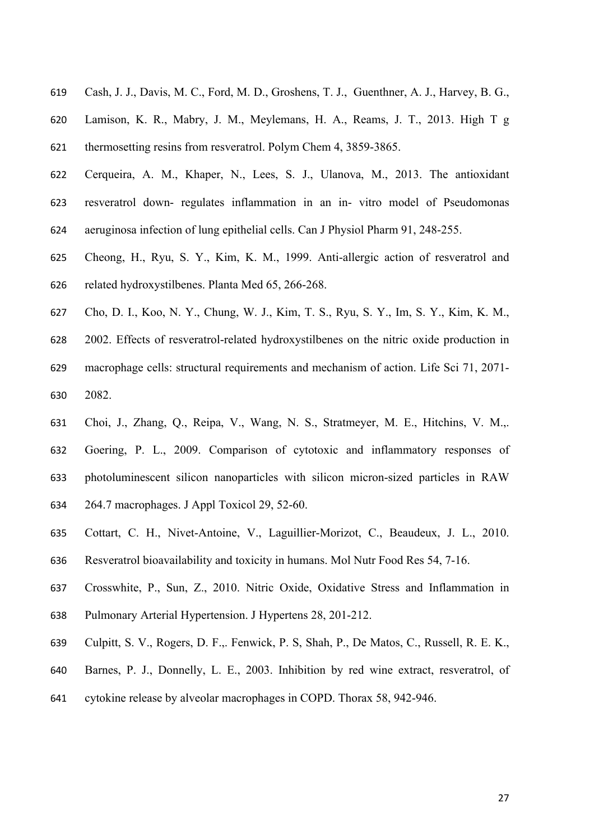- Cash, J. J., Davis, M. C., Ford, M. D., Groshens, T. J., Guenthner, A. J., Harvey, B. G.,
- Lamison, K. R., Mabry, J. M., Meylemans, H. A., Reams, J. T., 2013. High T g thermosetting resins from resveratrol. Polym Chem 4, 3859-3865.
- Cerqueira, A. M., Khaper, N., Lees, S. J., Ulanova, M., 2013. The antioxidant resveratrol down- regulates inflammation in an in- vitro model of Pseudomonas
- aeruginosa infection of lung epithelial cells. Can J Physiol Pharm 91, 248-255.
- Cheong, H., Ryu, S. Y., Kim, K. M., 1999. Anti-allergic action of resveratrol and related hydroxystilbenes. Planta Med 65, 266-268.
- Cho, D. I., Koo, N. Y., Chung, W. J., Kim, T. S., Ryu, S. Y., Im, S. Y., Kim, K. M.,
- 2002. Effects of resveratrol-related hydroxystilbenes on the nitric oxide production in
- macrophage cells: structural requirements and mechanism of action. Life Sci 71, 2071- 2082.
- Choi, J., Zhang, Q., Reipa, V., Wang, N. S., Stratmeyer, M. E., Hitchins, V. M.,.
- Goering, P. L., 2009. Comparison of cytotoxic and inflammatory responses of
- photoluminescent silicon nanoparticles with silicon micron-sized particles in RAW
- 264.7 macrophages. J Appl Toxicol 29, 52-60.
- Cottart, C. H., Nivet-Antoine, V., Laguillier-Morizot, C., Beaudeux, J. L., 2010.
- Resveratrol bioavailability and toxicity in humans. Mol Nutr Food Res 54, 7-16.
- Crosswhite, P., Sun, Z., 2010. Nitric Oxide, Oxidative Stress and Inflammation in
- Pulmonary Arterial Hypertension. J Hypertens 28, 201-212.
- Culpitt, S. V., Rogers, D. F.,. Fenwick, P. S, Shah, P., De Matos, C., Russell, R. E. K.,
- Barnes, P. J., Donnelly, L. E., 2003. Inhibition by red wine extract, resveratrol, of
- cytokine release by alveolar macrophages in COPD. Thorax 58, 942-946.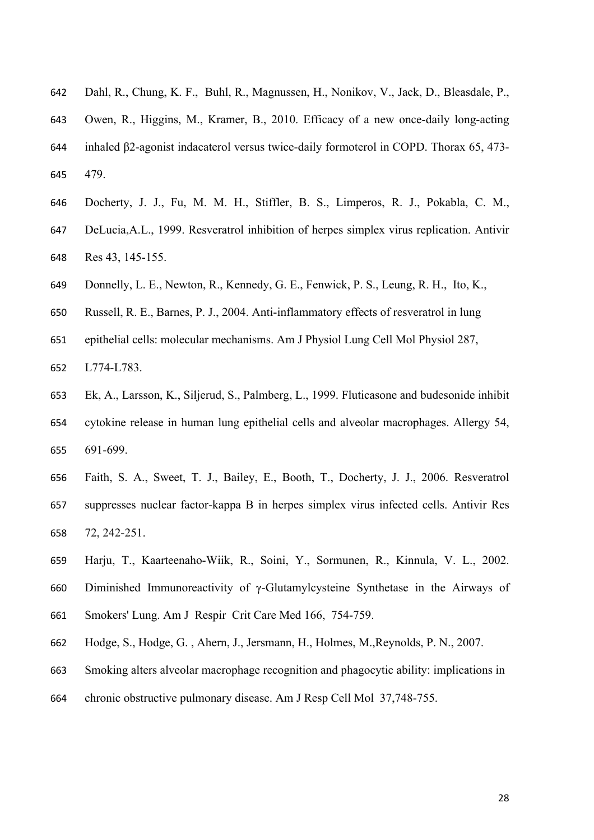- Dahl, R., Chung, K. F., Buhl, R., Magnussen, H., Nonikov, V., Jack, D., Bleasdale, P.,
- Owen, R., Higgins, M., Kramer, B., 2010. Efficacy of a new once-daily long-acting inhaled β2-agonist indacaterol versus twice-daily formoterol in COPD. Thorax 65, 473- 479.
- Docherty, J. J., Fu, M. M. H., Stiffler, B. S., Limperos, R. J., Pokabla, C. M.,
- DeLucia,A.L., 1999. Resveratrol inhibition of herpes simplex virus replication. Antivir Res 43, 145-155.
- Donnelly, L. E., Newton, R., Kennedy, G. E., Fenwick, P. S., Leung, R. H., Ito, K.,
- Russell, R. E., Barnes, P. J., 2004. Anti-inflammatory effects of resveratrol in lung
- epithelial cells: molecular mechanisms. Am J Physiol Lung Cell Mol Physiol 287,
- L774-L783.
- Ek, A., Larsson, K., Siljerud, S., Palmberg, L., 1999. Fluticasone and budesonide inhibit cytokine release in human lung epithelial cells and alveolar macrophages. Allergy 54, 691-699.
- Faith, S. A., Sweet, T. J., Bailey, E., Booth, T., Docherty, J. J., 2006. Resveratrol suppresses nuclear factor-kappa B in herpes simplex virus infected cells. Antivir Res 72, 242-251.
- Harju, T., Kaarteenaho-Wiik, R., Soini, Y., Sormunen, R., Kinnula, V. L., 2002.
- Diminished Immunoreactivity of γ-Glutamylcysteine Synthetase in the Airways of
- Smokers' Lung. Am J Respir Crit Care Med 166, 754-759.
- Hodge, S., Hodge, G. , Ahern, J., Jersmann, H., Holmes, M.,Reynolds, P. N., 2007.
- Smoking alters alveolar macrophage recognition and phagocytic ability: implications in
- chronic obstructive pulmonary disease. Am J Resp Cell Mol 37,748-755.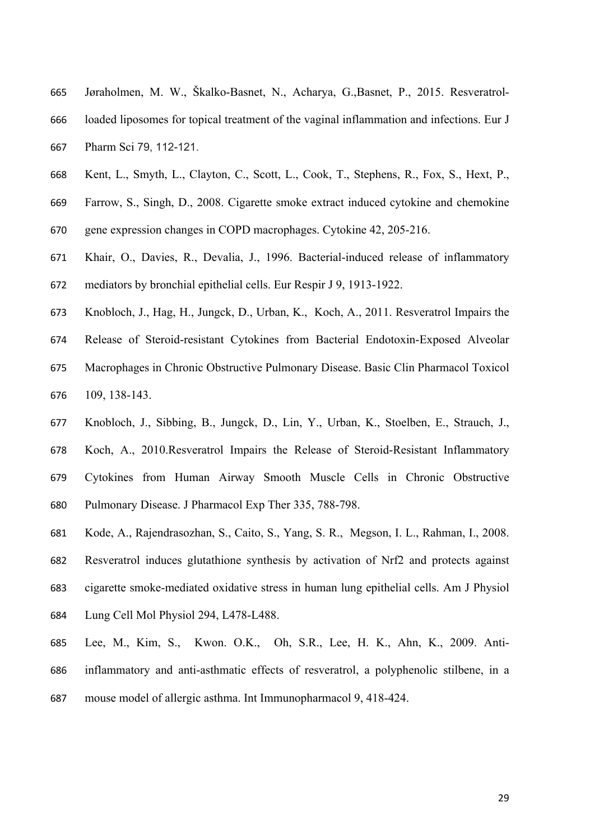- Jøraholmen, M. W., Škalko-Basnet, N., Acharya, G.,Basnet, P., 2015. Resveratrol-loaded liposomes for topical treatment of the vaginal inflammation and infections. Eur J
- Pharm Sci 79, 112-121.
- Kent, L., Smyth, L., Clayton, C., Scott, L., Cook, T., Stephens, R., Fox, S., Hext, P.,
- Farrow, S., Singh, D., 2008. Cigarette smoke extract induced cytokine and chemokine
- gene expression changes in COPD macrophages. Cytokine 42, 205-216.
- Khair, O., Davies, R., Devalia, J., 1996. Bacterial-induced release of inflammatory mediators by bronchial epithelial cells. Eur Respir J 9, 1913-1922.
- Knobloch, J., Hag, H., Jungck, D., Urban, K., Koch, A., 2011. Resveratrol Impairs the
- Release of Steroid-resistant Cytokines from Bacterial Endotoxin-Exposed Alveolar
- Macrophages in Chronic Obstructive Pulmonary Disease. Basic Clin Pharmacol Toxicol 109, 138-143.
- Knobloch, J., Sibbing, B., Jungck, D., Lin, Y., Urban, K., Stoelben, E., Strauch, J.,
- Koch, A., 2010.Resveratrol Impairs the Release of Steroid-Resistant Inflammatory
- Cytokines from Human Airway Smooth Muscle Cells in Chronic Obstructive
- Pulmonary Disease. J Pharmacol Exp Ther 335, 788-798.
- Kode, A., Rajendrasozhan, S., Caito, S., Yang, S. R., Megson, I. L., Rahman, I., 2008.
- Resveratrol induces glutathione synthesis by activation of Nrf2 and protects against
- cigarette smoke-mediated oxidative stress in human lung epithelial cells. Am J Physiol
- Lung Cell Mol Physiol 294, L478-L488.
- Lee, M., Kim, S., Kwon. O.K., Oh, S.R., Lee, H. K., Ahn, K., 2009. Anti-
- inflammatory and anti-asthmatic effects of resveratrol, a polyphenolic stilbene, in a
- mouse model of allergic asthma. Int Immunopharmacol 9, 418-424.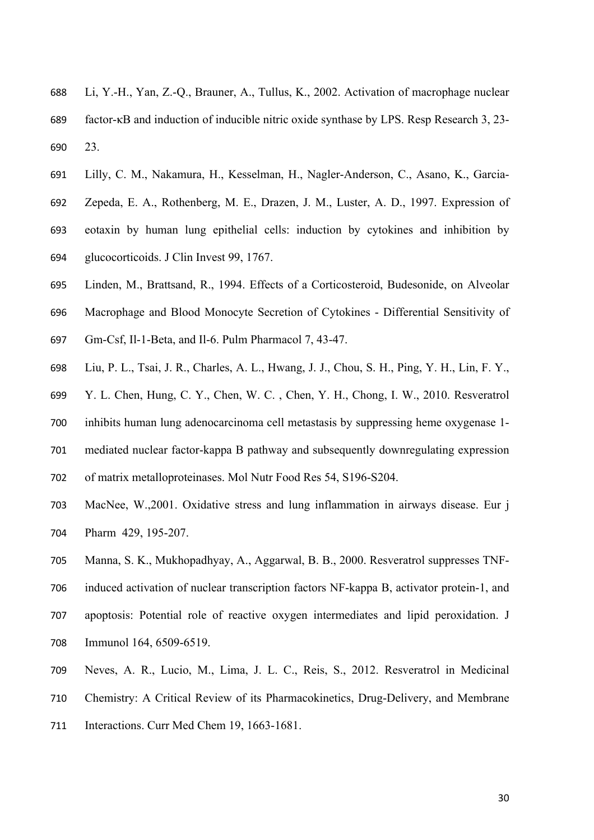- Li, Y.-H., Yan, Z.-Q., Brauner, A., Tullus, K., 2002. Activation of macrophage nuclear factor-κB and induction of inducible nitric oxide synthase by LPS. Resp Research 3, 23- 23.
- Lilly, C. M., Nakamura, H., Kesselman, H., Nagler-Anderson, C., Asano, K., Garcia-
- Zepeda, E. A., Rothenberg, M. E., Drazen, J. M., Luster, A. D., 1997. Expression of
- eotaxin by human lung epithelial cells: induction by cytokines and inhibition by glucocorticoids. J Clin Invest 99, 1767.
- Linden, M., Brattsand, R., 1994. Effects of a Corticosteroid, Budesonide, on Alveolar
- Macrophage and Blood Monocyte Secretion of Cytokines Differential Sensitivity of
- Gm-Csf, Il-1-Beta, and Il-6. Pulm Pharmacol 7, 43-47.
- Liu, P. L., Tsai, J. R., Charles, A. L., Hwang, J. J., Chou, S. H., Ping, Y. H., Lin, F. Y.,
- Y. L. Chen, Hung, C. Y., Chen, W. C. , Chen, Y. H., Chong, I. W., 2010. Resveratrol
- inhibits human lung adenocarcinoma cell metastasis by suppressing heme oxygenase 1-
- mediated nuclear factor-kappa B pathway and subsequently downregulating expression
- of matrix metalloproteinases. Mol Nutr Food Res 54, S196-S204.
- MacNee, W.,2001. Oxidative stress and lung inflammation in airways disease. Eur j Pharm 429, 195-207.
- Manna, S. K., Mukhopadhyay, A., Aggarwal, B. B., 2000. Resveratrol suppresses TNF-
- induced activation of nuclear transcription factors NF-kappa B, activator protein-1, and
- apoptosis: Potential role of reactive oxygen intermediates and lipid peroxidation. J
- Immunol 164, 6509-6519.
- Neves, A. R., Lucio, M., Lima, J. L. C., Reis, S., 2012. Resveratrol in Medicinal
- Chemistry: A Critical Review of its Pharmacokinetics, Drug-Delivery, and Membrane
- 711 Interactions. Curr Med Chem 19, 1663-1681.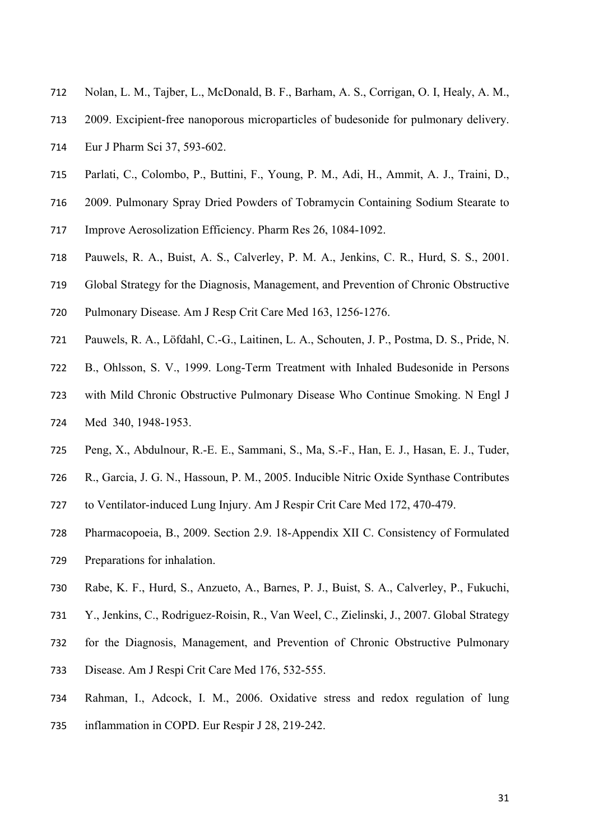- Nolan, L. M., Tajber, L., McDonald, B. F., Barham, A. S., Corrigan, O. I, Healy, A. M.,
- 2009. Excipient-free nanoporous microparticles of budesonide for pulmonary delivery.
- Eur J Pharm Sci 37, 593-602.
- Parlati, C., Colombo, P., Buttini, F., Young, P. M., Adi, H., Ammit, A. J., Traini, D.,
- 2009. Pulmonary Spray Dried Powders of Tobramycin Containing Sodium Stearate to
- Improve Aerosolization Efficiency. Pharm Res 26, 1084-1092.
- Pauwels, R. A., Buist, A. S., Calverley, P. M. A., Jenkins, C. R., Hurd, S. S., 2001.
- Global Strategy for the Diagnosis, Management, and Prevention of Chronic Obstructive
- Pulmonary Disease. Am J Resp Crit Care Med 163, 1256-1276.
- Pauwels, R. A., Löfdahl, C.-G., Laitinen, L. A., Schouten, J. P., Postma, D. S., Pride, N.
- B., Ohlsson, S. V., 1999. Long-Term Treatment with Inhaled Budesonide in Persons
- with Mild Chronic Obstructive Pulmonary Disease Who Continue Smoking. N Engl J Med 340, 1948-1953.
- Peng, X., Abdulnour, R.-E. E., Sammani, S., Ma, S.-F., Han, E. J., Hasan, E. J., Tuder,
- R., Garcia, J. G. N., Hassoun, P. M., 2005. Inducible Nitric Oxide Synthase Contributes
- to Ventilator-induced Lung Injury. Am J Respir Crit Care Med 172, 470-479.
- Pharmacopoeia, B., 2009. Section 2.9. 18-Appendix XII C. Consistency of Formulated Preparations for inhalation.
- Rabe, K. F., Hurd, S., Anzueto, A., Barnes, P. J., Buist, S. A., Calverley, P., Fukuchi,
- Y., Jenkins, C., Rodriguez-Roisin, R., Van Weel, C., Zielinski, J., 2007. Global Strategy
- for the Diagnosis, Management, and Prevention of Chronic Obstructive Pulmonary
- Disease. Am J Respi Crit Care Med 176, 532-555.
- Rahman, I., Adcock, I. M., 2006. Oxidative stress and redox regulation of lung
- inflammation in COPD. Eur Respir J 28, 219-242.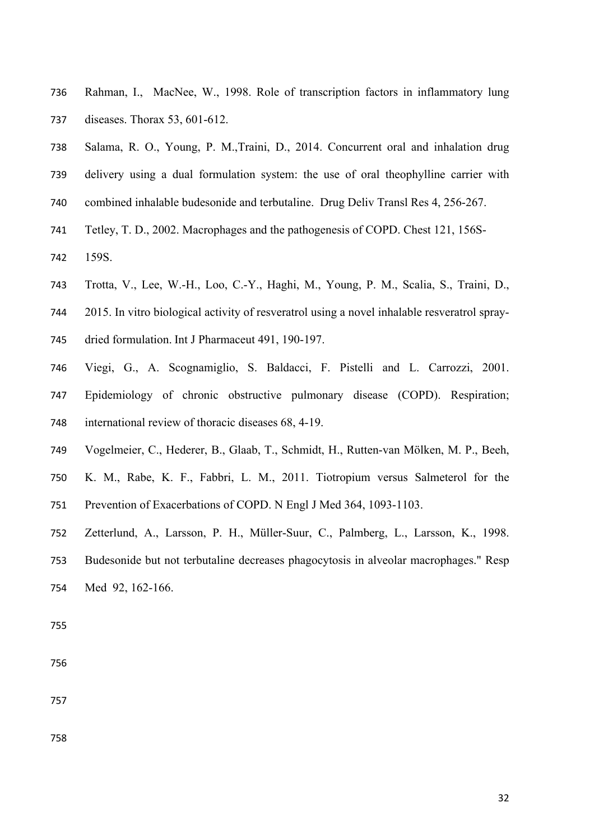- Rahman, I., MacNee, W., 1998. Role of transcription factors in inflammatory lung diseases. Thorax 53, 601-612.
- Salama, R. O., Young, P. M.,Traini, D., 2014. Concurrent oral and inhalation drug
- delivery using a dual formulation system: the use of oral theophylline carrier with
- combined inhalable budesonide and terbutaline. Drug Deliv Transl Res 4, 256-267.
- Tetley, T. D., 2002. Macrophages and the pathogenesis of COPD. Chest 121, 156S-
- 159S.
- Trotta, V., Lee, W.-H., Loo, C.-Y., Haghi, M., Young, P. M., Scalia, S., Traini, D.,
- 2015. In vitro biological activity of resveratrol using a novel inhalable resveratrol spray-
- dried formulation. Int J Pharmaceut 491, 190-197.
- Viegi, G., A. Scognamiglio, S. Baldacci, F. Pistelli and L. Carrozzi, 2001.
- Epidemiology of chronic obstructive pulmonary disease (COPD). Respiration; international review of thoracic diseases 68, 4-19.
- Vogelmeier, C., Hederer, B., Glaab, T., Schmidt, H., Rutten-van Mölken, M. P., Beeh,
- K. M., Rabe, K. F., Fabbri, L. M., 2011. Tiotropium versus Salmeterol for the Prevention of Exacerbations of COPD. N Engl J Med 364, 1093-1103.
- Zetterlund, A., Larsson, P. H., Müller-Suur, C., Palmberg, L., Larsson, K., 1998.
- Budesonide but not terbutaline decreases phagocytosis in alveolar macrophages." Resp Med 92, 162-166.
-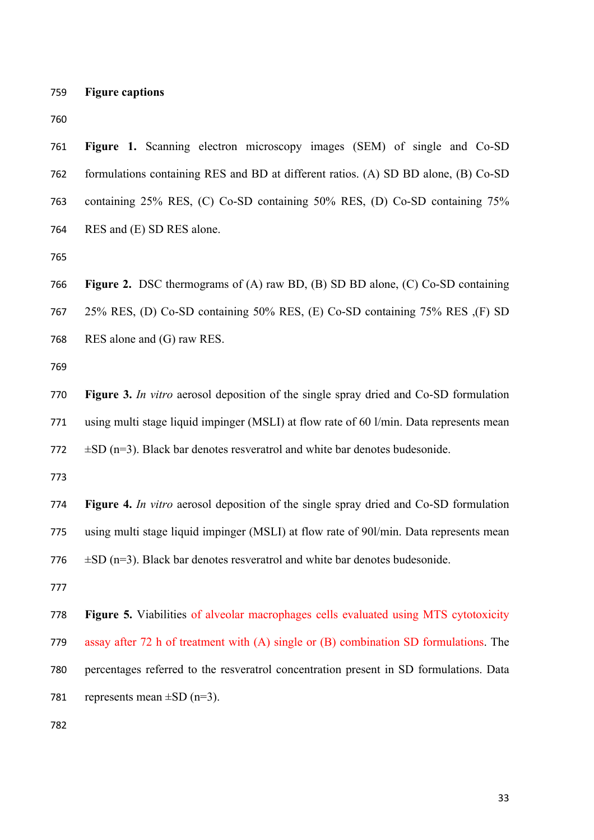**Figure captions**

 **Figure 1.** Scanning electron microscopy images (SEM) of single and Co-SD formulations containing RES and BD at different ratios. (A) SD BD alone, (B) Co-SD containing 25% RES, (C) Co-SD containing 50% RES, (D) Co-SD containing 75% RES and (E) SD RES alone.

 **Figure 2.** DSC thermograms of (A) raw BD, (B) SD BD alone, (C) Co-SD containing 25% RES, (D) Co-SD containing 50% RES, (E) Co-SD containing 75% RES ,(F) SD RES alone and (G) raw RES.

 **Figure 3.** *In vitro* aerosol deposition of the single spray dried and Co-SD formulation using multi stage liquid impinger (MSLI) at flow rate of 60 l/min. Data represents mean 772  $\pm$ SD (n=3). Black bar denotes resveratrol and white bar denotes budesonide.

 **Figure 4.** *In vitro* aerosol deposition of the single spray dried and Co-SD formulation using multi stage liquid impinger (MSLI) at flow rate of 90l/min. Data represents mean 776  $\pm$ SD (n=3). Black bar denotes resveratrol and white bar denotes budesonide.

 **Figure 5.** Viabilities of alveolar macrophages cells evaluated using MTS cytotoxicity assay after 72 h of treatment with (A) single or (B) combination SD formulations. The percentages referred to the resveratrol concentration present in SD formulations. Data 781 represents mean  $\pm$ SD (n=3).